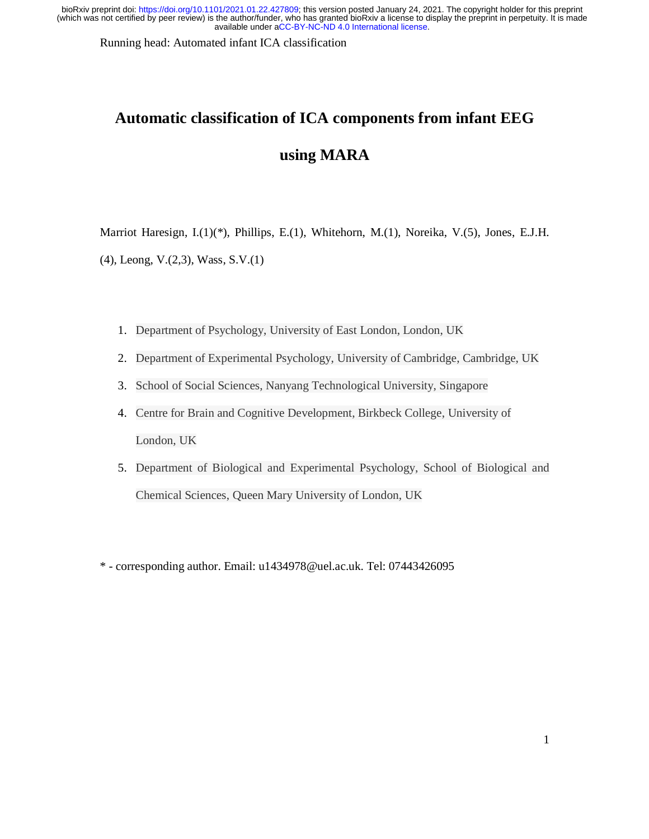Running head: Automated infant ICA classification

# **Automatic classification of ICA components from infant EEG using MARA**

Marriot Haresign, I.(1)(\*), Phillips, E.(1), Whitehorn, M.(1), Noreika, V.(5), Jones, E.J.H.

(4), Leong, V.(2,3), Wass, S.V.(1)

- 1. Department of Psychology, University of East London, London, UK
- 2. Department of Experimental Psychology, University of Cambridge, Cambridge, UK
- 3. School of Social Sciences, Nanyang Technological University, Singapore
- 4. Centre for Brain and Cognitive Development, Birkbeck College, University of London, UK
- 5. Department of Biological and Experimental Psychology, School of Biological and Chemical Sciences, Queen Mary University of London, UK
- \* corresponding author. Email: u1434978@uel.ac.uk. Tel: 07443426095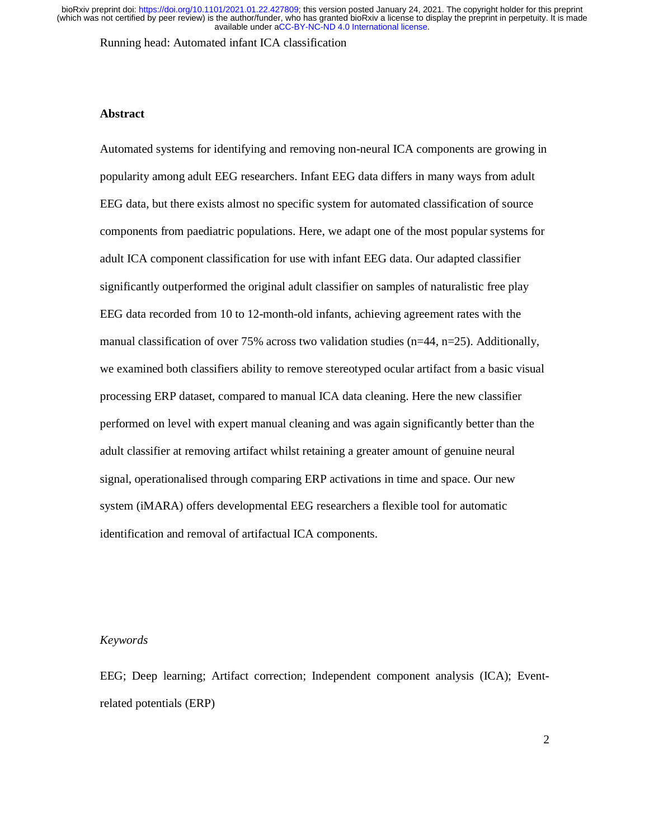Running head: Automated infant ICA classification

# **Abstract**

Automated systems for identifying and removing non-neural ICA components are growing in popularity among adult EEG researchers. Infant EEG data differs in many ways from adult EEG data, but there exists almost no specific system for automated classification of source components from paediatric populations. Here, we adapt one of the most popular systems for adult ICA component classification for use with infant EEG data. Our adapted classifier significantly outperformed the original adult classifier on samples of naturalistic free play EEG data recorded from 10 to 12-month-old infants, achieving agreement rates with the manual classification of over 75% across two validation studies ( $n=44$ ,  $n=25$ ). Additionally, we examined both classifiers ability to remove stereotyped ocular artifact from a basic visual processing ERP dataset, compared to manual ICA data cleaning. Here the new classifier performed on level with expert manual cleaning and was again significantly better than the adult classifier at removing artifact whilst retaining a greater amount of genuine neural signal, operationalised through comparing ERP activations in time and space. Our new system (iMARA) offers developmental EEG researchers a flexible tool for automatic identification and removal of artifactual ICA components.

# *Keywords*

EEG; Deep learning; Artifact correction; Independent component analysis (ICA); Eventrelated potentials (ERP)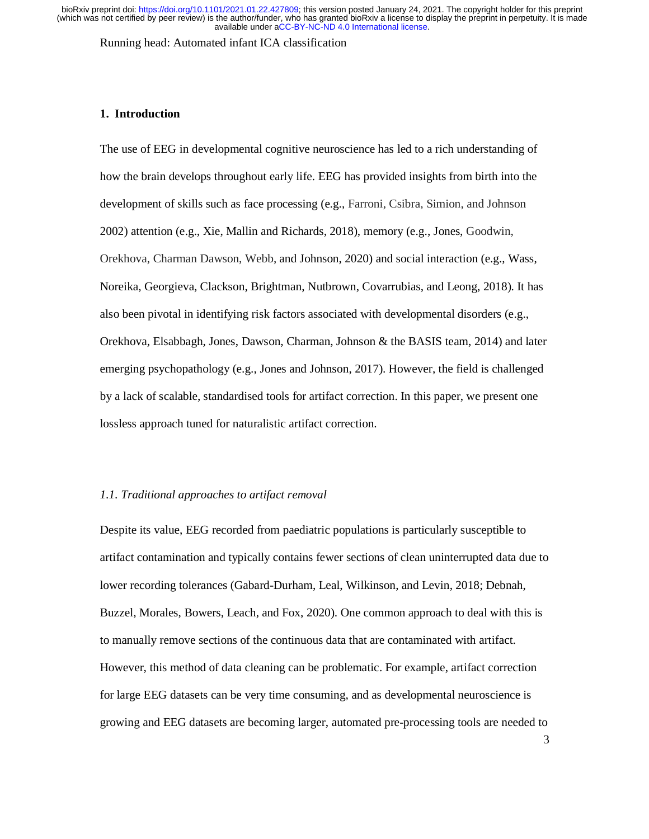Running head: Automated infant ICA classification

# **1. Introduction**

The use of EEG in developmental cognitive neuroscience has led to a rich understanding of how the brain develops throughout early life. EEG has provided insights from birth into the development of skills such as face processing (e.g., Farroni, Csibra, Simion, and Johnson 2002) attention (e.g., Xie, Mallin and Richards, 2018), memory (e.g., Jones, Goodwin, Orekhova, Charman Dawson, Webb, and Johnson, 2020) and social interaction (e.g., Wass, Noreika, Georgieva, Clackson, Brightman, Nutbrown, Covarrubias, and Leong, 2018). It has also been pivotal in identifying risk factors associated with developmental disorders (e.g., Orekhova, Elsabbagh, Jones, Dawson, Charman, Johnson & the BASIS team, 2014) and later emerging psychopathology (e.g., Jones and Johnson, 2017). However, the field is challenged by a lack of scalable, standardised tools for artifact correction. In this paper, we present one lossless approach tuned for naturalistic artifact correction.

# *1.1. Traditional approaches to artifact removal*

Despite its value, EEG recorded from paediatric populations is particularly susceptible to artifact contamination and typically contains fewer sections of clean uninterrupted data due to lower recording tolerances (Gabard-Durham, Leal, Wilkinson, and Levin, 2018; Debnah, Buzzel, Morales, Bowers, Leach, and Fox, 2020). One common approach to deal with this is to manually remove sections of the continuous data that are contaminated with artifact. However, this method of data cleaning can be problematic. For example, artifact correction for large EEG datasets can be very time consuming, and as developmental neuroscience is growing and EEG datasets are becoming larger, automated pre-processing tools are needed to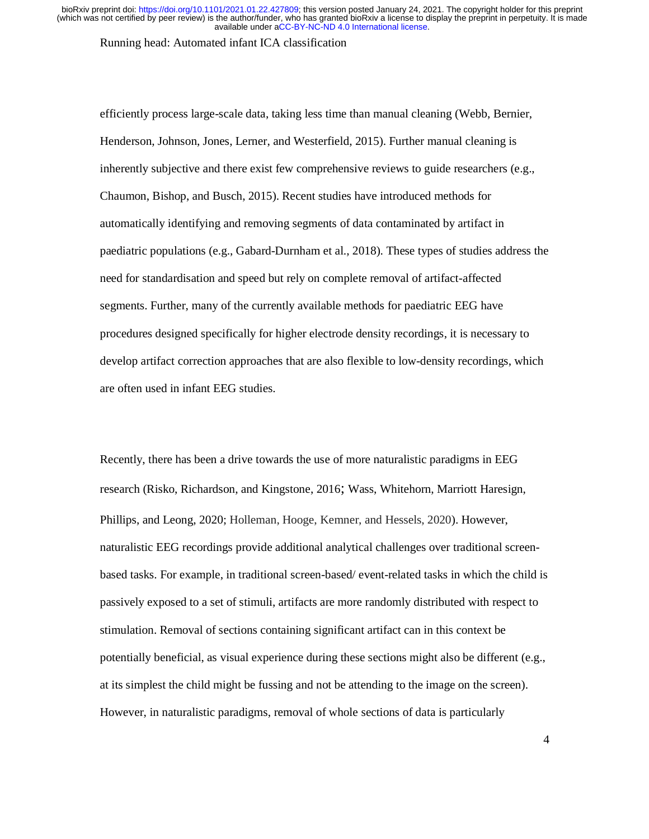Running head: Automated infant ICA classification

efficiently process large-scale data, taking less time than manual cleaning (Webb, Bernier, Henderson, Johnson, Jones, Lerner, and Westerfield, 2015). Further manual cleaning is inherently subjective and there exist few comprehensive reviews to guide researchers (e.g., Chaumon, Bishop, and Busch, 2015). Recent studies have introduced methods for automatically identifying and removing segments of data contaminated by artifact in paediatric populations (e.g., Gabard-Durnham et al., 2018). These types of studies address the need for standardisation and speed but rely on complete removal of artifact-affected segments. Further, many of the currently available methods for paediatric EEG have procedures designed specifically for higher electrode density recordings, it is necessary to develop artifact correction approaches that are also flexible to low-density recordings, which are often used in infant EEG studies.

Recently, there has been a drive towards the use of more naturalistic paradigms in EEG research (Risko, Richardson, and Kingstone, 2016; Wass, Whitehorn, Marriott Haresign, Phillips, and Leong, 2020; Holleman, Hooge, Kemner, and Hessels, 2020). However, naturalistic EEG recordings provide additional analytical challenges over traditional screenbased tasks. For example, in traditional screen-based/ event-related tasks in which the child is passively exposed to a set of stimuli, artifacts are more randomly distributed with respect to stimulation. Removal of sections containing significant artifact can in this context be potentially beneficial, as visual experience during these sections might also be different (e.g., at its simplest the child might be fussing and not be attending to the image on the screen). However, in naturalistic paradigms, removal of whole sections of data is particularly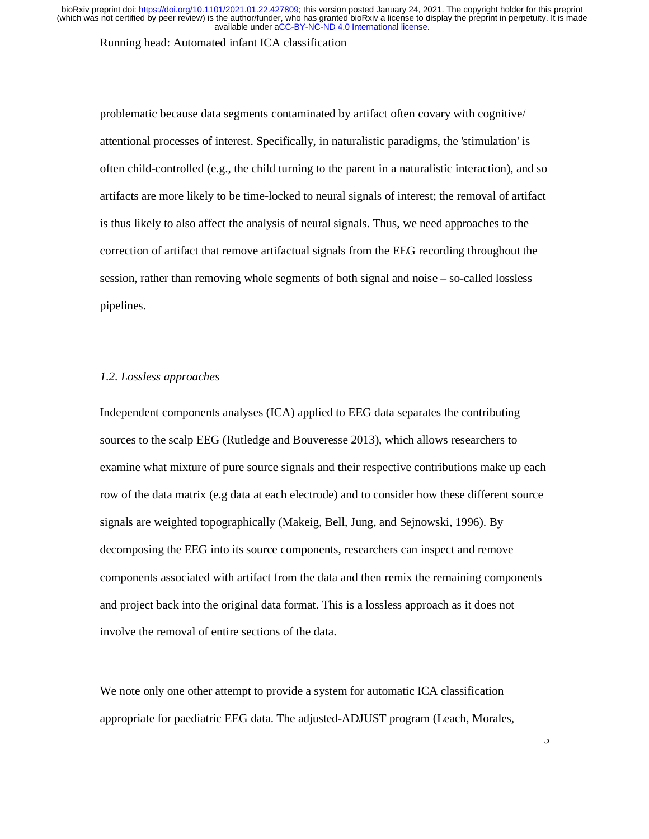Running head: Automated infant ICA classification

problematic because data segments contaminated by artifact often covary with cognitive/ attentional processes of interest. Specifically, in naturalistic paradigms, the 'stimulation' is often child-controlled (e.g., the child turning to the parent in a naturalistic interaction), and so artifacts are more likely to be time-locked to neural signals of interest; the removal of artifact is thus likely to also affect the analysis of neural signals. Thus, we need approaches to the correction of artifact that remove artifactual signals from the EEG recording throughout the session, rather than removing whole segments of both signal and noise – so-called lossless pipelines.

### *1.2. Lossless approaches*

Independent components analyses (ICA) applied to EEG data separates the contributing sources to the scalp EEG (Rutledge and Bouveresse 2013), which allows researchers to examine what mixture of pure source signals and their respective contributions make up each row of the data matrix (e.g data at each electrode) and to consider how these different source signals are weighted topographically (Makeig, Bell, Jung, and Sejnowski, 1996). By decomposing the EEG into its source components, researchers can inspect and remove components associated with artifact from the data and then remix the remaining components and project back into the original data format. This is a lossless approach as it does not involve the removal of entire sections of the data.

We note only one other attempt to provide a system for automatic ICA classification appropriate for paediatric EEG data. The adjusted-ADJUST program (Leach, Morales,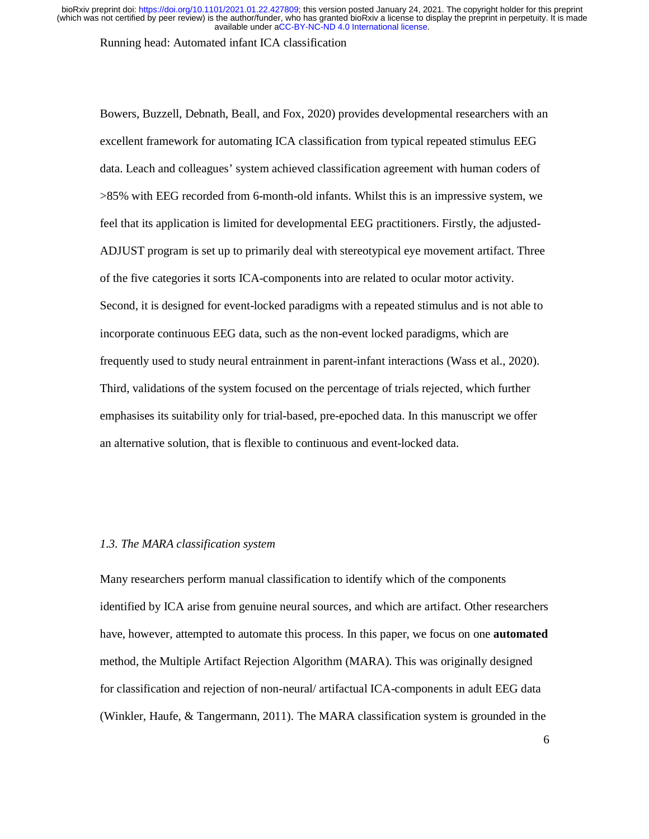Running head: Automated infant ICA classification

Bowers, Buzzell, Debnath, Beall, and Fox, 2020) provides developmental researchers with an excellent framework for automating ICA classification from typical repeated stimulus EEG data. Leach and colleagues' system achieved classification agreement with human coders of >85% with EEG recorded from 6-month-old infants. Whilst this is an impressive system, we feel that its application is limited for developmental EEG practitioners. Firstly, the adjusted-ADJUST program is set up to primarily deal with stereotypical eye movement artifact. Three of the five categories it sorts ICA-components into are related to ocular motor activity. Second, it is designed for event-locked paradigms with a repeated stimulus and is not able to incorporate continuous EEG data, such as the non-event locked paradigms, which are frequently used to study neural entrainment in parent-infant interactions (Wass et al., 2020). Third, validations of the system focused on the percentage of trials rejected, which further emphasises its suitability only for trial-based, pre-epoched data. In this manuscript we offer an alternative solution, that is flexible to continuous and event-locked data.

# *1.3. The MARA classification system*

Many researchers perform manual classification to identify which of the components identified by ICA arise from genuine neural sources, and which are artifact. Other researchers have, however, attempted to automate this process. In this paper, we focus on one **automated** method, the Multiple Artifact Rejection Algorithm (MARA). This was originally designed for classification and rejection of non-neural/ artifactual ICA-components in adult EEG data (Winkler, Haufe, & Tangermann, 2011). The MARA classification system is grounded in the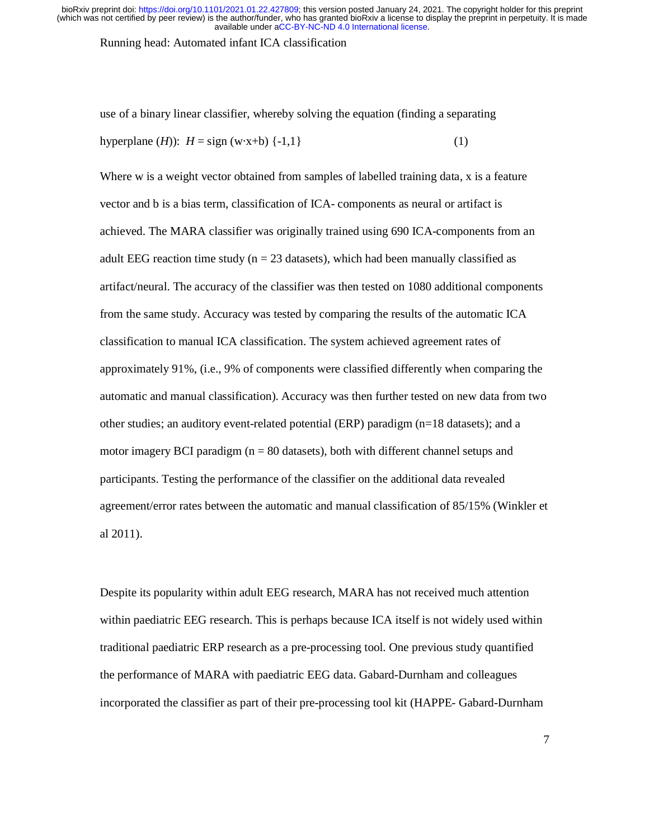Running head: Automated infant ICA classification

use of a binary linear classifier, whereby solving the equation (finding a separating hyperplane  $(H)$ :  $H = \text{sign}(w \cdot x + b) \{-1, 1\}$  (1)

Where w is a weight vector obtained from samples of labelled training data, x is a feature vector and b is a bias term, classification of ICA- components as neural or artifact is achieved. The MARA classifier was originally trained using 690 ICA-components from an adult EEG reaction time study ( $n = 23$  datasets), which had been manually classified as artifact/neural. The accuracy of the classifier was then tested on 1080 additional components from the same study. Accuracy was tested by comparing the results of the automatic ICA classification to manual ICA classification. The system achieved agreement rates of approximately 91%, (i.e., 9% of components were classified differently when comparing the automatic and manual classification). Accuracy was then further tested on new data from two other studies; an auditory event-related potential (ERP) paradigm (n=18 datasets); and a motor imagery BCI paradigm  $(n = 80$  datasets), both with different channel setups and participants. Testing the performance of the classifier on the additional data revealed agreement/error rates between the automatic and manual classification of 85/15% (Winkler et al 2011).

Despite its popularity within adult EEG research, MARA has not received much attention within paediatric EEG research. This is perhaps because ICA itself is not widely used within traditional paediatric ERP research as a pre-processing tool. One previous study quantified the performance of MARA with paediatric EEG data. Gabard-Durnham and colleagues incorporated the classifier as part of their pre-processing tool kit (HAPPE- Gabard-Durnham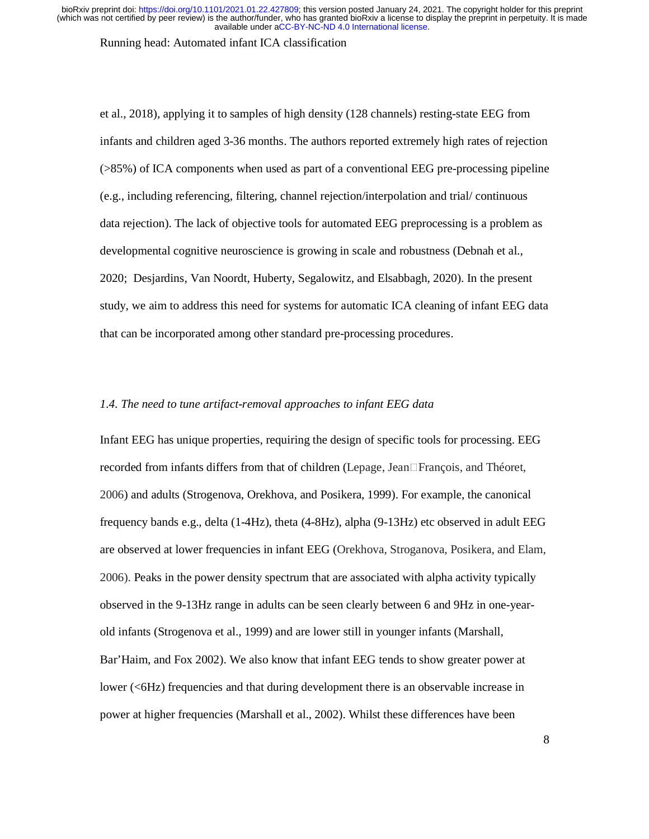#### Running head: Automated infant ICA classification

et al., 2018), applying it to samples of high density (128 channels) resting-state EEG from infants and children aged 3-36 months. The authors reported extremely high rates of rejection (>85%) of ICA components when used as part of a conventional EEG pre-processing pipeline (e.g., including referencing, filtering, channel rejection/interpolation and trial/ continuous data rejection). The lack of objective tools for automated EEG preprocessing is a problem as developmental cognitive neuroscience is growing in scale and robustness (Debnah et al., 2020; Desjardins, Van Noordt, Huberty, Segalowitz, and Elsabbagh, 2020). In the present study, we aim to address this need for systems for automatic ICA cleaning of infant EEG data that can be incorporated among other standard pre-processing procedures.

# *1.4. The need to tune artifact-removal approaches to infant EEG data*

Infant EEG has unique properties, requiring the design of specific tools for processing. EEG recorded from infants differs from that of children (Lepage, Jean $\Box$ François, and Théoret, 2006) and adults (Strogenova, Orekhova, and Posikera, 1999). For example, the canonical frequency bands e.g., delta (1-4Hz), theta (4-8Hz), alpha (9-13Hz) etc observed in adult EEG are observed at lower frequencies in infant EEG (Orekhova, Stroganova, Posikera, and Elam, 2006). Peaks in the power density spectrum that are associated with alpha activity typically observed in the 9-13Hz range in adults can be seen clearly between 6 and 9Hz in one-yearold infants (Strogenova et al., 1999) and are lower still in younger infants (Marshall, Bar'Haim, and Fox 2002). We also know that infant EEG tends to show greater power at lower (<6Hz) frequencies and that during development there is an observable increase in power at higher frequencies (Marshall et al., 2002). Whilst these differences have been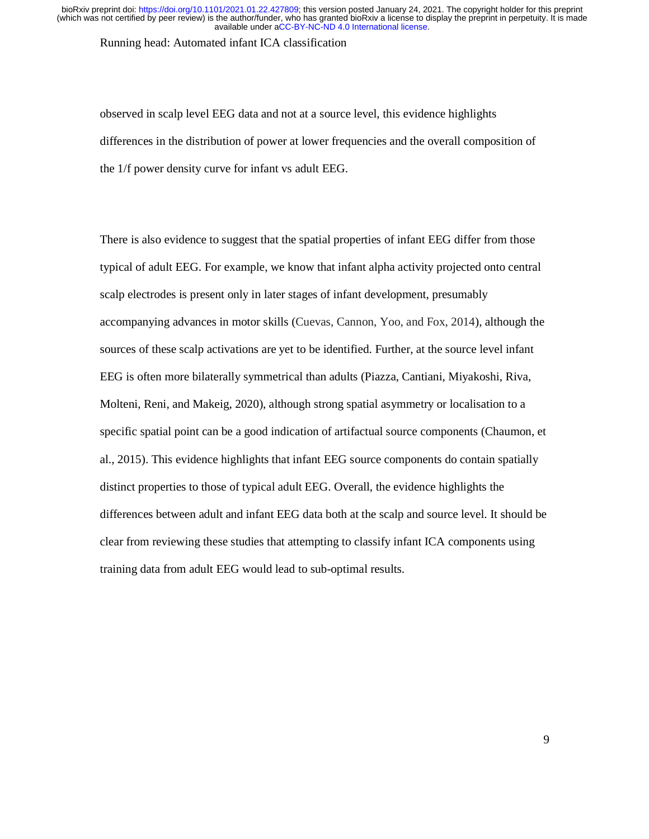Running head: Automated infant ICA classification

observed in scalp level EEG data and not at a source level, this evidence highlights differences in the distribution of power at lower frequencies and the overall composition of the 1/f power density curve for infant vs adult EEG.

There is also evidence to suggest that the spatial properties of infant EEG differ from those typical of adult EEG. For example, we know that infant alpha activity projected onto central scalp electrodes is present only in later stages of infant development, presumably accompanying advances in motor skills (Cuevas, Cannon, Yoo, and Fox, 2014), although the sources of these scalp activations are yet to be identified. Further, at the source level infant EEG is often more bilaterally symmetrical than adults (Piazza, Cantiani, Miyakoshi, Riva, Molteni, Reni, and Makeig, 2020), although strong spatial asymmetry or localisation to a specific spatial point can be a good indication of artifactual source components (Chaumon, et al., 2015). This evidence highlights that infant EEG source components do contain spatially distinct properties to those of typical adult EEG. Overall, the evidence highlights the differences between adult and infant EEG data both at the scalp and source level. It should be clear from reviewing these studies that attempting to classify infant ICA components using training data from adult EEG would lead to sub-optimal results.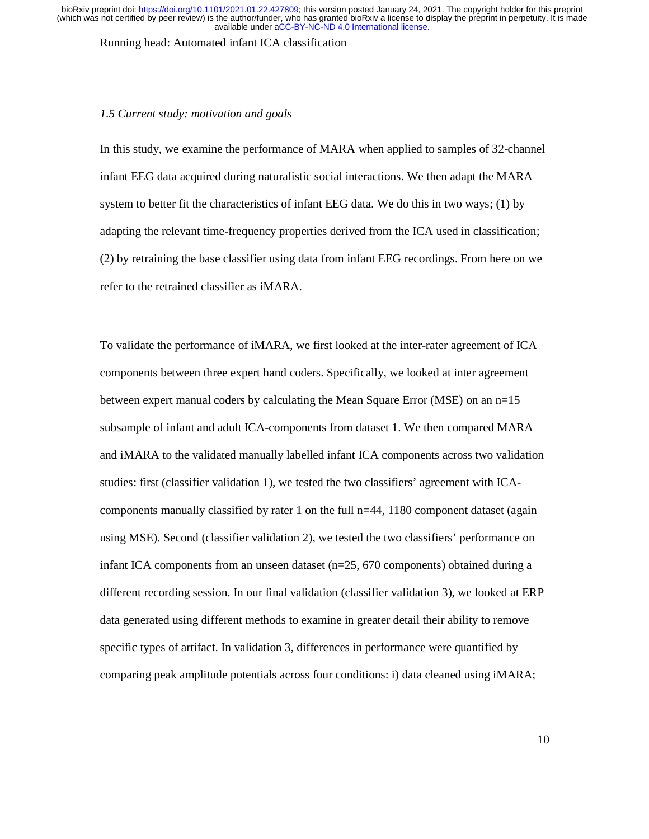Running head: Automated infant ICA classification

#### *1.5 Current study: motivation and goals*

In this study, we examine the performance of MARA when applied to samples of 32-channel infant EEG data acquired during naturalistic social interactions. We then adapt the MARA system to better fit the characteristics of infant EEG data. We do this in two ways; (1) by adapting the relevant time-frequency properties derived from the ICA used in classification; (2) by retraining the base classifier using data from infant EEG recordings. From here on we refer to the retrained classifier as iMARA.

To validate the performance of iMARA, we first looked at the inter-rater agreement of ICA components between three expert hand coders. Specifically, we looked at inter agreement between expert manual coders by calculating the Mean Square Error (MSE) on an n=15 subsample of infant and adult ICA-components from dataset 1. We then compared MARA and iMARA to the validated manually labelled infant ICA components across two validation studies: first (classifier validation 1), we tested the two classifiers' agreement with ICAcomponents manually classified by rater 1 on the full n=44, 1180 component dataset (again using MSE). Second (classifier validation 2), we tested the two classifiers' performance on infant ICA components from an unseen dataset (n=25, 670 components) obtained during a different recording session. In our final validation (classifier validation 3), we looked at ERP data generated using different methods to examine in greater detail their ability to remove specific types of artifact. In validation 3, differences in performance were quantified by comparing peak amplitude potentials across four conditions: i) data cleaned using iMARA;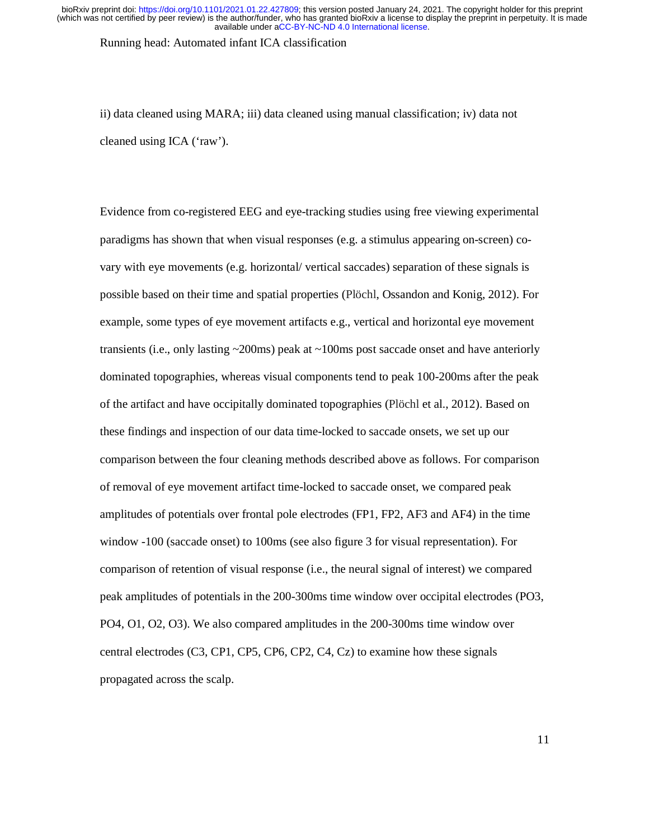Running head: Automated infant ICA classification

ii) data cleaned using MARA; iii) data cleaned using manual classification; iv) data not cleaned using ICA ('raw').

Evidence from co-registered EEG and eye-tracking studies using free viewing experimental paradigms has shown that when visual responses (e.g. a stimulus appearing on-screen) covary with eye movements (e.g. horizontal/ vertical saccades) separation of these signals is possible based on their time and spatial properties (Plöchl, Ossandon and Konig, 2012). For example, some types of eye movement artifacts e.g., vertical and horizontal eye movement transients (i.e., only lasting  $\sim$  200ms) peak at  $\sim$  100ms post saccade onset and have anteriorly dominated topographies, whereas visual components tend to peak 100-200ms after the peak of the artifact and have occipitally dominated topographies (Plöchl et al., 2012). Based on these findings and inspection of our data time-locked to saccade onsets, we set up our comparison between the four cleaning methods described above as follows. For comparison of removal of eye movement artifact time-locked to saccade onset, we compared peak amplitudes of potentials over frontal pole electrodes (FP1, FP2, AF3 and AF4) in the time window -100 (saccade onset) to 100ms (see also figure 3 for visual representation). For comparison of retention of visual response (i.e., the neural signal of interest) we compared peak amplitudes of potentials in the 200-300ms time window over occipital electrodes (PO3, PO4, O1, O2, O3). We also compared amplitudes in the 200-300ms time window over central electrodes (C3, CP1, CP5, CP6, CP2, C4, Cz) to examine how these signals propagated across the scalp.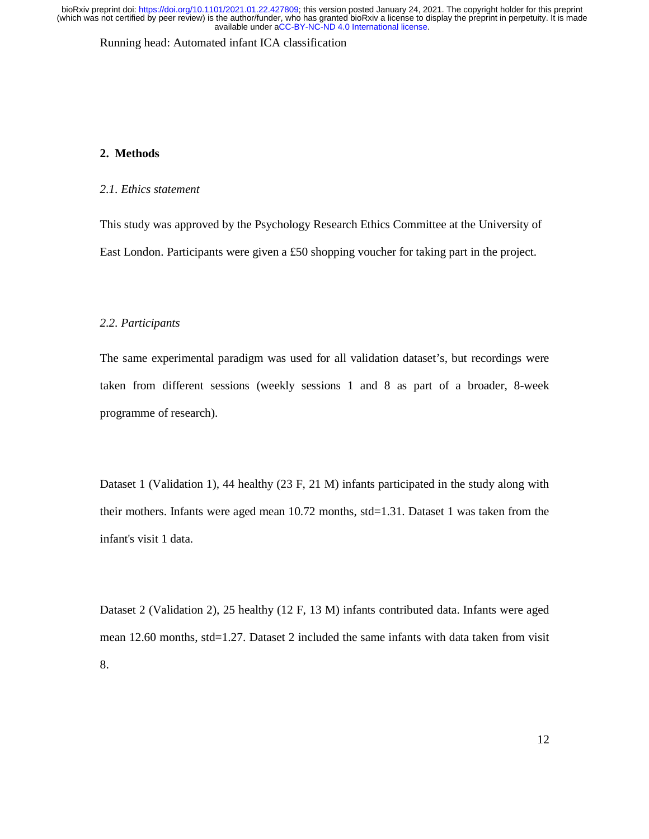Running head: Automated infant ICA classification

# **2. Methods**

# *2.1. Ethics statement*

This study was approved by the Psychology Research Ethics Committee at the University of East London. Participants were given a £50 shopping voucher for taking part in the project.

#### *2.2. Participants*

The same experimental paradigm was used for all validation dataset's, but recordings were taken from different sessions (weekly sessions 1 and 8 as part of a broader, 8-week programme of research).

Dataset 1 (Validation 1), 44 healthy (23 F, 21 M) infants participated in the study along with their mothers. Infants were aged mean 10.72 months, std=1.31. Dataset 1 was taken from the infant's visit 1 data.

Dataset 2 (Validation 2), 25 healthy (12 F, 13 M) infants contributed data. Infants were aged mean 12.60 months, std=1.27. Dataset 2 included the same infants with data taken from visit 8.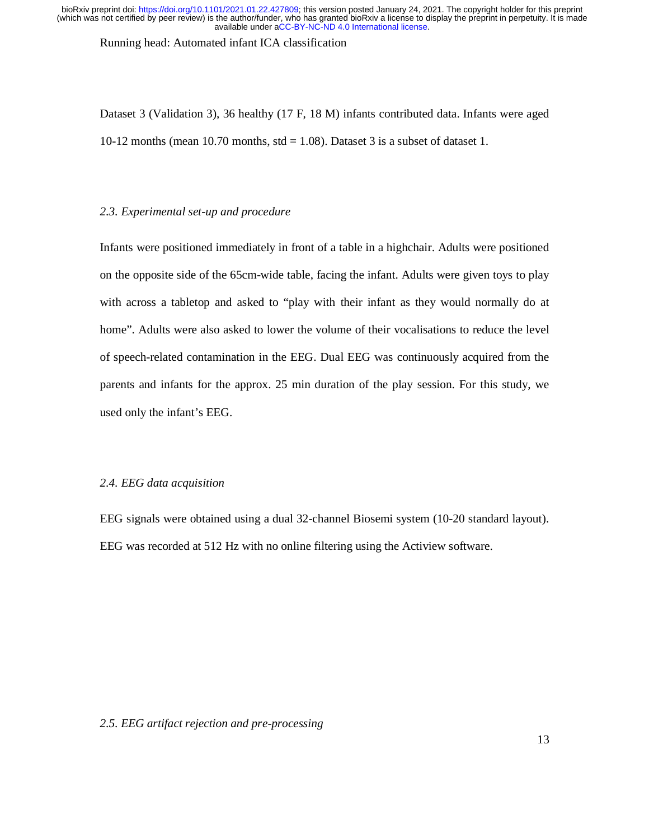Running head: Automated infant ICA classification

Dataset 3 (Validation 3), 36 healthy (17 F, 18 M) infants contributed data. Infants were aged 10-12 months (mean 10.70 months,  $std = 1.08$ ). Dataset 3 is a subset of dataset 1.

# *2.3. Experimental set-up and procedure*

Infants were positioned immediately in front of a table in a highchair. Adults were positioned on the opposite side of the 65cm-wide table, facing the infant. Adults were given toys to play with across a tabletop and asked to "play with their infant as they would normally do at home". Adults were also asked to lower the volume of their vocalisations to reduce the level of speech-related contamination in the EEG. Dual EEG was continuously acquired from the parents and infants for the approx. 25 min duration of the play session. For this study, we used only the infant's EEG.

# *2.4. EEG data acquisition*

EEG signals were obtained using a dual 32-channel Biosemi system (10-20 standard layout). EEG was recorded at 512 Hz with no online filtering using the Actiview software.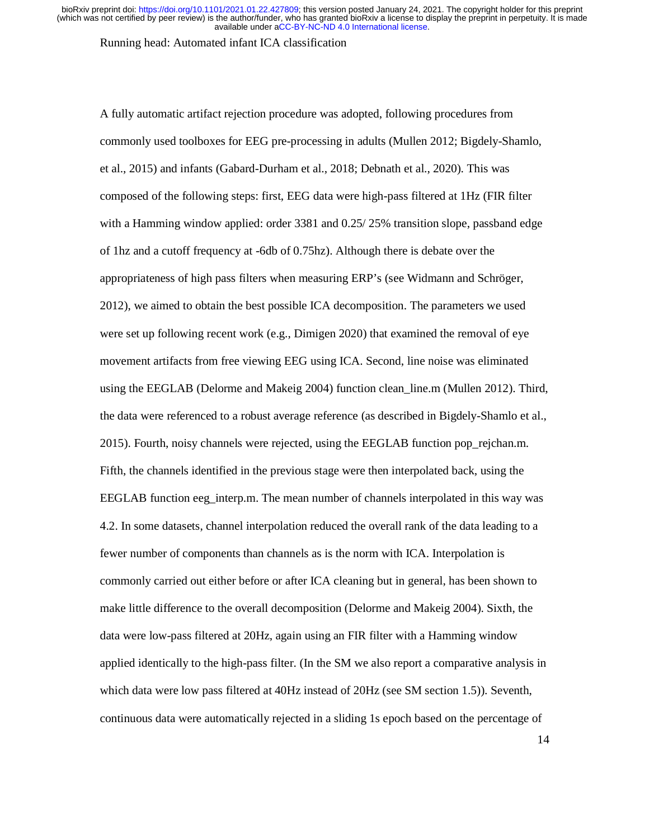Running head: Automated infant ICA classification

A fully automatic artifact rejection procedure was adopted, following procedures from commonly used toolboxes for EEG pre-processing in adults (Mullen 2012; Bigdely-Shamlo, et al., 2015) and infants (Gabard-Durham et al., 2018; Debnath et al., 2020). This was composed of the following steps: first, EEG data were high-pass filtered at 1Hz (FIR filter with a Hamming window applied: order 3381 and 0.25/25% transition slope, passband edge of 1hz and a cutoff frequency at -6db of 0.75hz). Although there is debate over the appropriateness of high pass filters when measuring ERP's (see Widmann and Schröger, 2012), we aimed to obtain the best possible ICA decomposition. The parameters we used were set up following recent work (e.g., Dimigen 2020) that examined the removal of eye movement artifacts from free viewing EEG using ICA. Second, line noise was eliminated using the EEGLAB (Delorme and Makeig 2004) function clean\_line.m (Mullen 2012). Third, the data were referenced to a robust average reference (as described in Bigdely-Shamlo et al., 2015). Fourth, noisy channels were rejected, using the EEGLAB function pop\_rejchan.m. Fifth, the channels identified in the previous stage were then interpolated back, using the EEGLAB function eeg\_interp.m. The mean number of channels interpolated in this way was 4.2. In some datasets, channel interpolation reduced the overall rank of the data leading to a fewer number of components than channels as is the norm with ICA. Interpolation is commonly carried out either before or after ICA cleaning but in general, has been shown to make little difference to the overall decomposition (Delorme and Makeig 2004). Sixth, the data were low-pass filtered at 20Hz, again using an FIR filter with a Hamming window applied identically to the high-pass filter. (In the SM we also report a comparative analysis in which data were low pass filtered at 40Hz instead of 20Hz (see SM section 1.5)). Seventh, continuous data were automatically rejected in a sliding 1s epoch based on the percentage of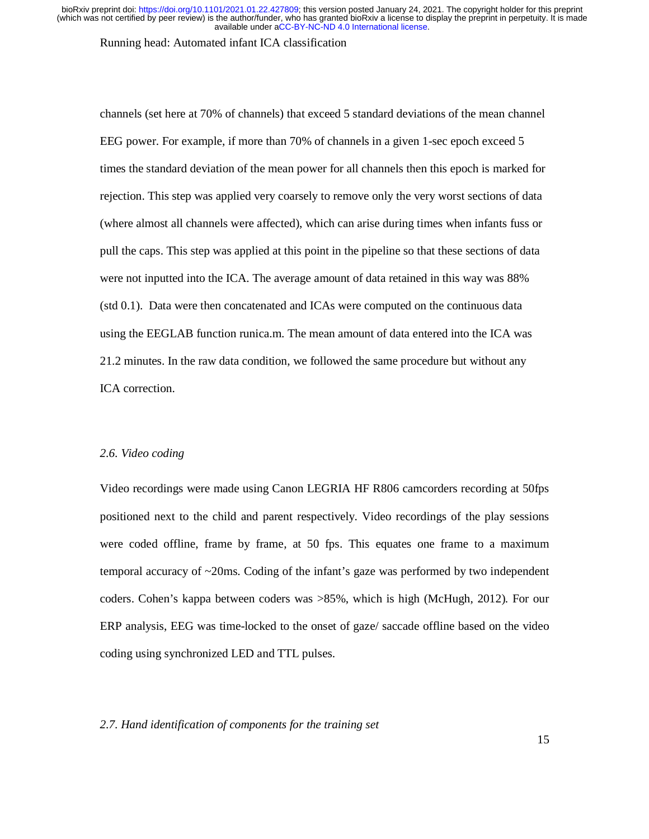Running head: Automated infant ICA classification

channels (set here at 70% of channels) that exceed 5 standard deviations of the mean channel EEG power. For example, if more than 70% of channels in a given 1-sec epoch exceed 5 times the standard deviation of the mean power for all channels then this epoch is marked for rejection. This step was applied very coarsely to remove only the very worst sections of data (where almost all channels were affected), which can arise during times when infants fuss or pull the caps. This step was applied at this point in the pipeline so that these sections of data were not inputted into the ICA. The average amount of data retained in this way was 88% (std 0.1). Data were then concatenated and ICAs were computed on the continuous data using the EEGLAB function runica.m. The mean amount of data entered into the ICA was 21.2 minutes. In the raw data condition, we followed the same procedure but without any ICA correction.

# *2.6. Video coding*

Video recordings were made using Canon LEGRIA HF R806 camcorders recording at 50fps positioned next to the child and parent respectively. Video recordings of the play sessions were coded offline, frame by frame, at 50 fps. This equates one frame to a maximum temporal accuracy of ~20ms. Coding of the infant's gaze was performed by two independent coders. Cohen's kappa between coders was >85%, which is high (McHugh, 2012). For our ERP analysis, EEG was time-locked to the onset of gaze/ saccade offline based on the video coding using synchronized LED and TTL pulses.

# *2.7. Hand identification of components for the training set*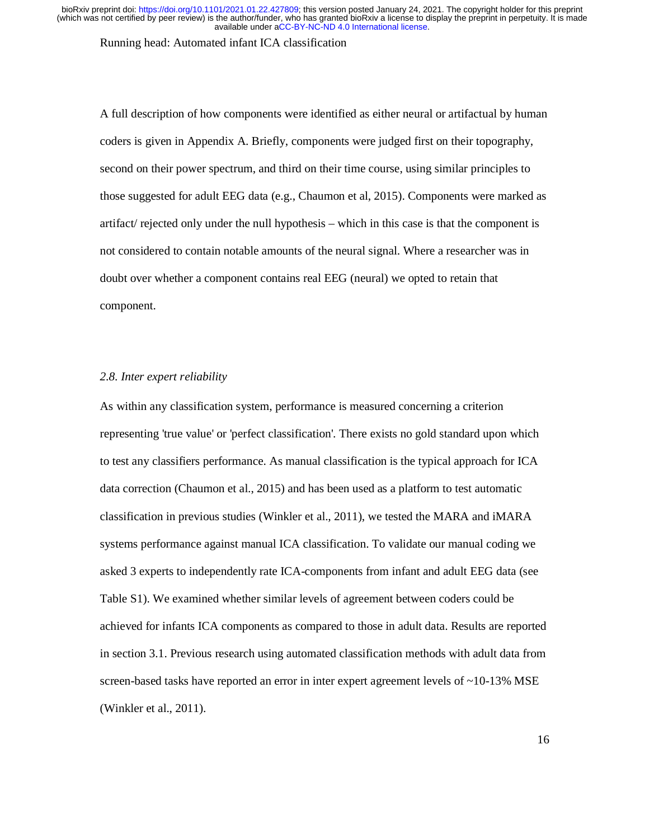Running head: Automated infant ICA classification

A full description of how components were identified as either neural or artifactual by human coders is given in Appendix A. Briefly, components were judged first on their topography, second on their power spectrum, and third on their time course, using similar principles to those suggested for adult EEG data (e.g., Chaumon et al, 2015). Components were marked as artifact/ rejected only under the null hypothesis – which in this case is that the component is not considered to contain notable amounts of the neural signal. Where a researcher was in doubt over whether a component contains real EEG (neural) we opted to retain that component.

### *2.8. Inter expert reliability*

As within any classification system, performance is measured concerning a criterion representing 'true value' or 'perfect classification'. There exists no gold standard upon which to test any classifiers performance. As manual classification is the typical approach for ICA data correction (Chaumon et al., 2015) and has been used as a platform to test automatic classification in previous studies (Winkler et al., 2011), we tested the MARA and iMARA systems performance against manual ICA classification. To validate our manual coding we asked 3 experts to independently rate ICA-components from infant and adult EEG data (see Table S1). We examined whether similar levels of agreement between coders could be achieved for infants ICA components as compared to those in adult data. Results are reported in section 3.1. Previous research using automated classification methods with adult data from screen-based tasks have reported an error in inter expert agreement levels of  $\sim$ 10-13% MSE (Winkler et al., 2011).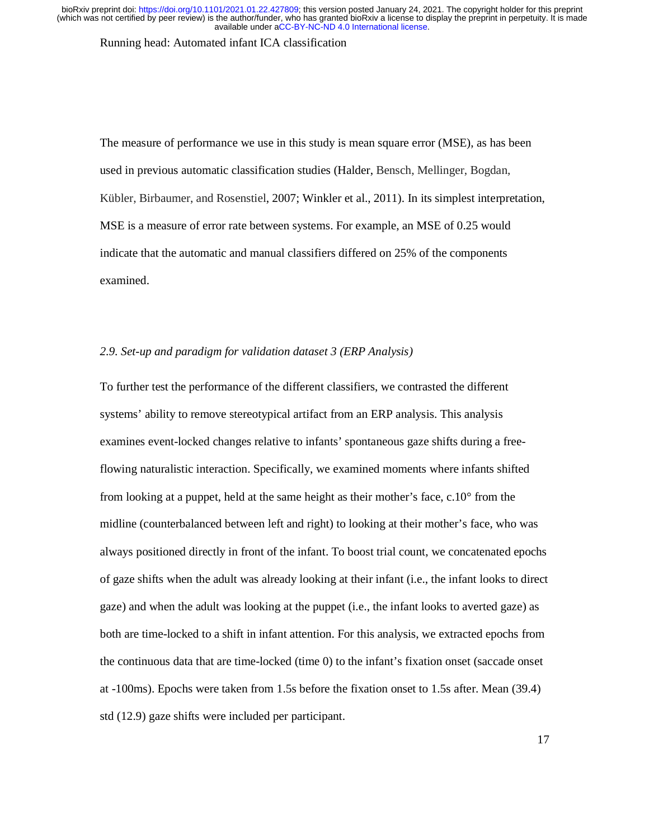Running head: Automated infant ICA classification

The measure of performance we use in this study is mean square error (MSE), as has been used in previous automatic classification studies (Halder, Bensch, Mellinger, Bogdan, Kübler, Birbaumer, and Rosenstiel, 2007; Winkler et al., 2011). In its simplest interpretation, MSE is a measure of error rate between systems. For example, an MSE of 0.25 would indicate that the automatic and manual classifiers differed on 25% of the components examined.

# *2.9. Set-up and paradigm for validation dataset 3 (ERP Analysis)*

To further test the performance of the different classifiers, we contrasted the different systems' ability to remove stereotypical artifact from an ERP analysis. This analysis examines event-locked changes relative to infants' spontaneous gaze shifts during a freeflowing naturalistic interaction. Specifically, we examined moments where infants shifted from looking at a puppet, held at the same height as their mother's face, c.10° from the midline (counterbalanced between left and right) to looking at their mother's face, who was always positioned directly in front of the infant. To boost trial count, we concatenated epochs of gaze shifts when the adult was already looking at their infant (i.e., the infant looks to direct gaze) and when the adult was looking at the puppet (i.e., the infant looks to averted gaze) as both are time-locked to a shift in infant attention. For this analysis, we extracted epochs from the continuous data that are time-locked (time 0) to the infant's fixation onset (saccade onset at -100ms). Epochs were taken from 1.5s before the fixation onset to 1.5s after. Mean (39.4) std (12.9) gaze shifts were included per participant.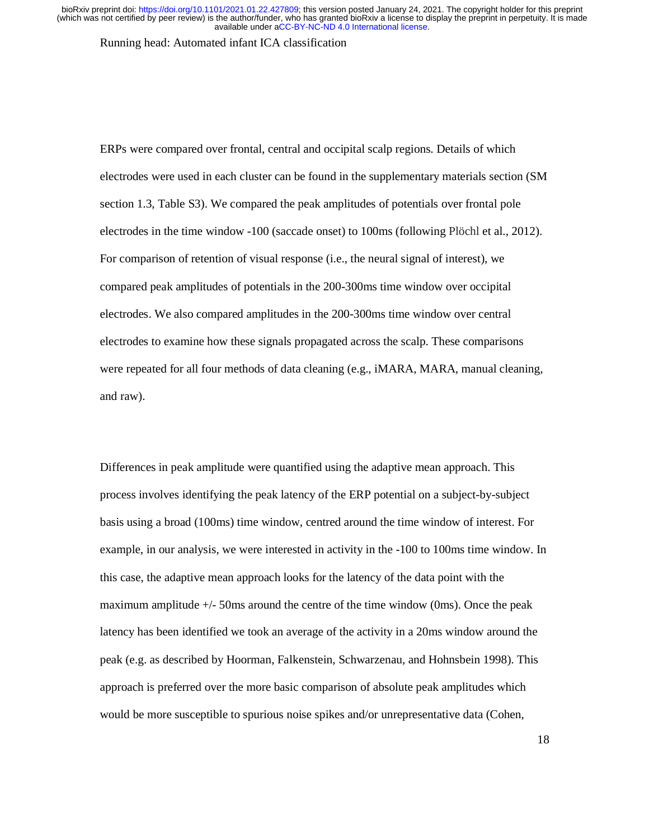Running head: Automated infant ICA classification

ERPs were compared over frontal, central and occipital scalp regions. Details of which electrodes were used in each cluster can be found in the supplementary materials section (SM section 1.3, Table S3). We compared the peak amplitudes of potentials over frontal pole electrodes in the time window -100 (saccade onset) to 100ms (following Plöchl et al., 2012). For comparison of retention of visual response (i.e., the neural signal of interest), we compared peak amplitudes of potentials in the 200-300ms time window over occipital electrodes. We also compared amplitudes in the 200-300ms time window over central electrodes to examine how these signals propagated across the scalp. These comparisons were repeated for all four methods of data cleaning (e.g., iMARA, MARA, manual cleaning, and raw).

Differences in peak amplitude were quantified using the adaptive mean approach. This process involves identifying the peak latency of the ERP potential on a subject-by-subject basis using a broad (100ms) time window, centred around the time window of interest. For example, in our analysis, we were interested in activity in the -100 to 100ms time window. In this case, the adaptive mean approach looks for the latency of the data point with the maximum amplitude +/- 50ms around the centre of the time window (0ms). Once the peak latency has been identified we took an average of the activity in a 20ms window around the peak (e.g. as described by Hoorman, Falkenstein, Schwarzenau, and Hohnsbein 1998). This approach is preferred over the more basic comparison of absolute peak amplitudes which would be more susceptible to spurious noise spikes and/or unrepresentative data (Cohen,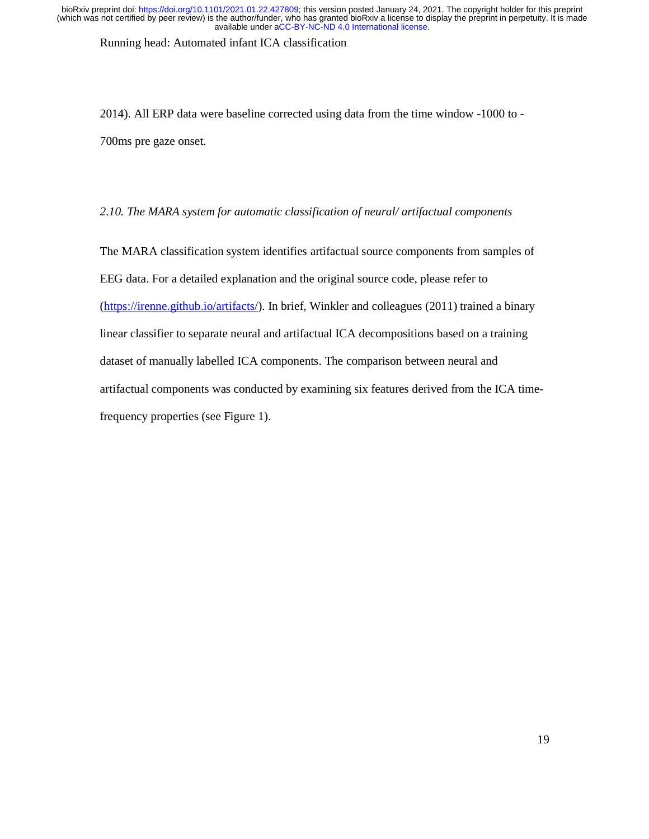Running head: Automated infant ICA classification

2014). All ERP data were baseline corrected using data from the time window -1000 to - 700ms pre gaze onset.

*2.10. The MARA system for automatic classification of neural/ artifactual components* 

The MARA classification system identifies artifactual source components from samples of EEG data. For a detailed explanation and the original source code, please refer to (https://irenne.github.io/artifacts/). In brief, Winkler and colleagues (2011) trained a binary linear classifier to separate neural and artifactual ICA decompositions based on a training dataset of manually labelled ICA components. The comparison between neural and artifactual components was conducted by examining six features derived from the ICA timefrequency properties (see Figure 1).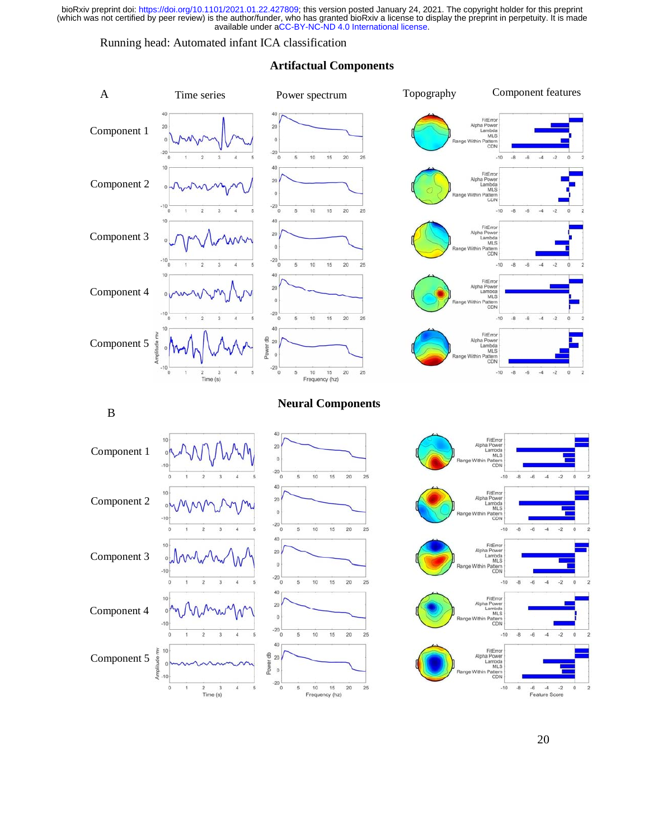# Running head: Automated infant ICA classification

#### Time series Power spectrum Topography Component features A 40 FitEn  $_{20}$ Alpha Po  $\frac{1}{20}$ Component 1 Lambda<br>MLS  $\overline{0}$ attern<br>CDN  $-20$  $-20$  $10$  $15$  $\overline{20}$  $-8$  $-6$  $\overline{3}$  $\theta$ 5 25  $-10$  $10$  $^{40}$ FitError<br>Alpha Power<br>Lambda<br>MLS<br>Mithin Pattern  $20\,$  Component 2  $\circ$ ittern<br>CDN  $-20$  $-10$  $10$  $15$  $20\,$  $\overline{4}$  $\overline{0}$ 5 25  $-10$  $-8$  $-6$ 40 FitEm Alpha Power<br>Lambda<br>MLS 20 Component 3  $\mathbf{0}$ Mithin P. CD<sub>N</sub>  $-20$ <sub>0</sub>  $-10$  $10$  $15$  $20\,$  $\overline{2}$ 3  $\overline{4}$ 5 25  $-10$  $-8$  $\cdot 6$  $-4$ 40 10 FitErro Alpha Power 20 Component 4  $\theta$ **Neural Components**  ittern<br>CDN  $-10$ <sub>0</sub>  $-20$ <sub>0</sub> ł.  $\overline{2}$  $\overline{\mathbf{3}}$  $\overline{4}$  $\overline{5}$  $\overline{5}$ 10  $15$  $20$ 25  $-10$  $-8$  $-6$  $-4$  $-2$  $\theta$  $40$ FitErro  $\frac{1}{6}$ Component 5  $\overline{20}$ Alpha Powe lude Lambda<br>MLS B Time series Power spectrum Topography Component features Power spectrum Topography Component features Component features Component features of the spectrum Topography Component features of the spectrum Topography Component  $2$  3<br>Time (s)  $-4$  $\ddot{\sim}$ Frequency (hz) **Neural Components** <sup>B</sup> FitErro<br>Alpha Powe<br>Lambda  $\overline{20}$ Component 1 MLS  $\mathbf{0}$ Mithin P. attern<br>CDN  $-20$  $10$ 15  $20$  $-6$  $\overline{4}$  $-2$  $\alpha$ 25  $-10$  $-8$ 40 FitError<br>Alpha Power<br>Lambda<br>MLS  $20<sup>1</sup>$ Component 2  $\overline{0}$ MLS<br>Within Pattern<br>CDN  $-20$ 10  $15$  $20$  $\overline{25}$  $-10$ 40 FitError<br>Alpha Power<br>MLS<br>MLS  $10$ 20 Component 3  $\overline{0}$ Lambda<br>MLS<br>Within Pattern<br>CDN  $\mathfrak o$  $-10$  $-20\frac{1}{0}$  $15$ 10  $20\,$ 25  $-10$  $-8$  $-6$  $\overline{a}$  $-2$  $\circ$ o 40 10 FitError<br>Alpha Power<br>Lambda  $20<sup>1</sup>$ Component 4  $\theta$ mbda<br>MLS MLS<br>thin Pattern<br>CDN  $\mathbf{0}$  $-10$  $-20$ <sub>0</sub>  $10$ 15  $20$ 25  $-10$  $-6$  $\overline{A}$ ï  $\overline{a}$  $\kappa$  $-8$  $\overline{a}$ 40 FitError<br>Alpha Power<br>Lambda<br>MLS<br>Mithin Pottern È 10  $\theta$  $\overline{20}$ Component 5 tude  $\mathbf{0}$ Power  $^\circ$ MLS<br>in Pattern<br>CDN Amplit 'n.  $-20$  $2$  3<br>Time (s) 10 15<br>Frequency (hz)  $20\,$  $25$  $-10$  $-6$   $-4$   $-2$ <br>Feature Score  $\overline{0}$  $\overline{4}$  $-8$  $\mathbf 0$

# **Artifactual Components**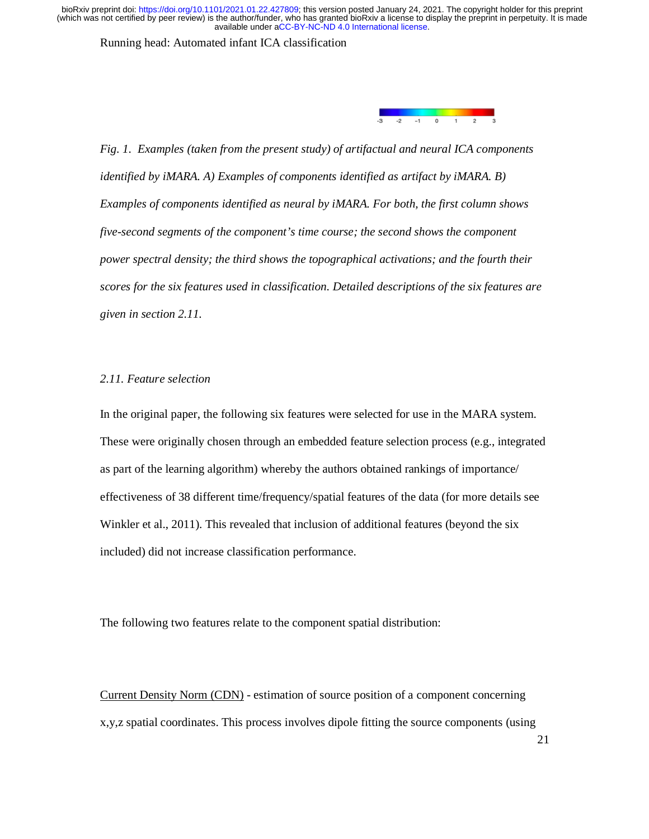Running head: Automated infant ICA classification



*Fig. 1. Examples (taken from the present study) of artifactual and neural ICA components identified by iMARA. A) Examples of components identified as artifact by iMARA. B) Examples of components identified as neural by iMARA. For both, the first column shows five-second segments of the component's time course; the second shows the component power spectral density; the third shows the topographical activations; and the fourth their scores for the six features used in classification. Detailed descriptions of the six features are given in section 2.11.* 

# *2.11. Feature selection*

In the original paper, the following six features were selected for use in the MARA system. These were originally chosen through an embedded feature selection process (e.g., integrated as part of the learning algorithm) whereby the authors obtained rankings of importance/ effectiveness of 38 different time/frequency/spatial features of the data (for more details see Winkler et al., 2011). This revealed that inclusion of additional features (beyond the six included) did not increase classification performance.

The following two features relate to the component spatial distribution:

Current Density Norm (CDN) - estimation of source position of a component concerning x,y,z spatial coordinates. This process involves dipole fitting the source components (using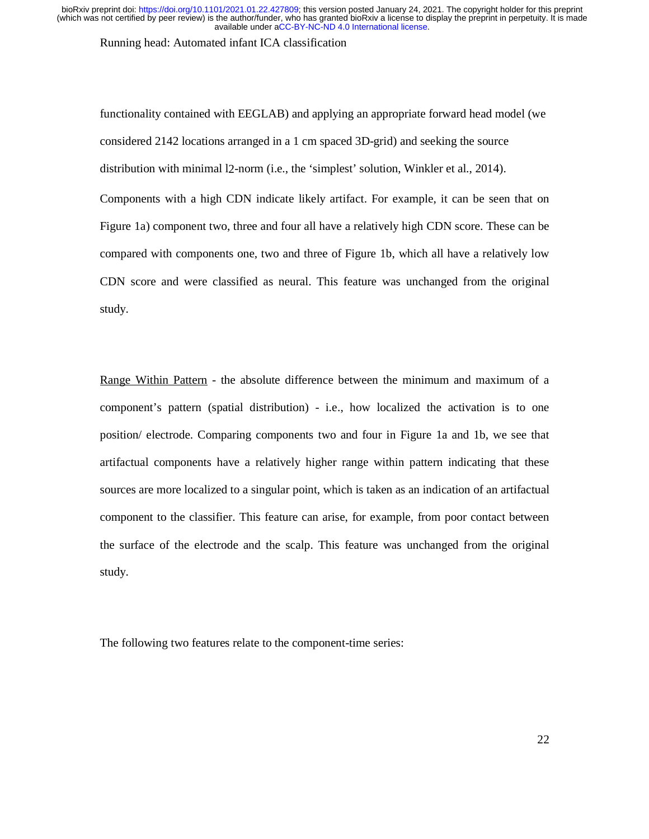Running head: Automated infant ICA classification

functionality contained with EEGLAB) and applying an appropriate forward head model (we considered 2142 locations arranged in a 1 cm spaced 3D-grid) and seeking the source distribution with minimal l2-norm (i.e., the 'simplest' solution, Winkler et al., 2014). Components with a high CDN indicate likely artifact. For example, it can be seen that on Figure 1a) component two, three and four all have a relatively high CDN score. These can be compared with components one, two and three of Figure 1b, which all have a relatively low CDN score and were classified as neural. This feature was unchanged from the original study.

Range Within Pattern - the absolute difference between the minimum and maximum of a component's pattern (spatial distribution) - i.e., how localized the activation is to one position/ electrode. Comparing components two and four in Figure 1a and 1b, we see that artifactual components have a relatively higher range within pattern indicating that these sources are more localized to a singular point, which is taken as an indication of an artifactual component to the classifier. This feature can arise, for example, from poor contact between the surface of the electrode and the scalp. This feature was unchanged from the original study.

The following two features relate to the component-time series: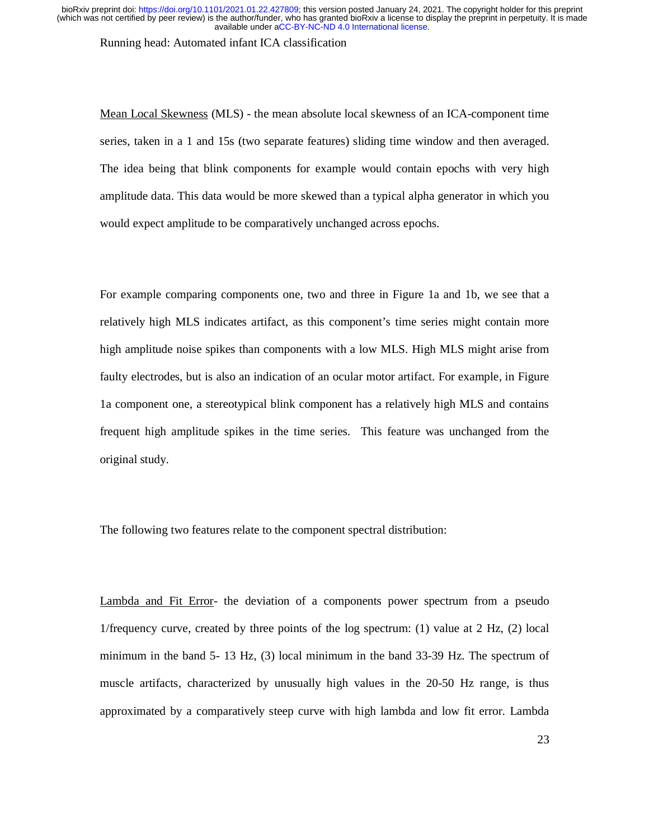Running head: Automated infant ICA classification

Mean Local Skewness (MLS) - the mean absolute local skewness of an ICA-component time series, taken in a 1 and 15s (two separate features) sliding time window and then averaged. The idea being that blink components for example would contain epochs with very high amplitude data. This data would be more skewed than a typical alpha generator in which you would expect amplitude to be comparatively unchanged across epochs.

For example comparing components one, two and three in Figure 1a and 1b, we see that a relatively high MLS indicates artifact, as this component's time series might contain more high amplitude noise spikes than components with a low MLS. High MLS might arise from faulty electrodes, but is also an indication of an ocular motor artifact. For example, in Figure 1a component one, a stereotypical blink component has a relatively high MLS and contains frequent high amplitude spikes in the time series. This feature was unchanged from the original study.

The following two features relate to the component spectral distribution:

Lambda and Fit Error- the deviation of a components power spectrum from a pseudo 1/frequency curve, created by three points of the log spectrum: (1) value at 2 Hz, (2) local minimum in the band 5- 13 Hz, (3) local minimum in the band 33-39 Hz. The spectrum of muscle artifacts, characterized by unusually high values in the 20-50 Hz range, is thus approximated by a comparatively steep curve with high lambda and low fit error. Lambda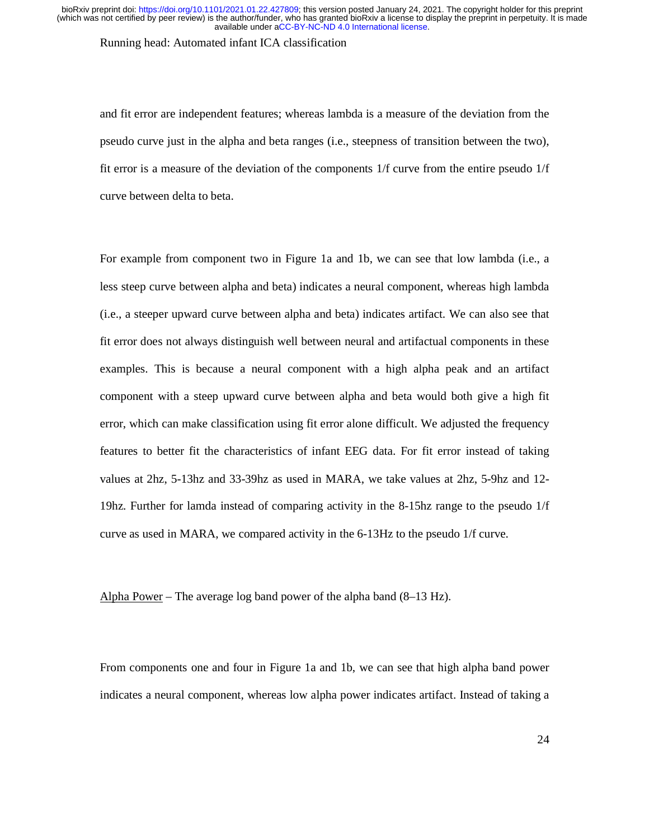Running head: Automated infant ICA classification

and fit error are independent features; whereas lambda is a measure of the deviation from the pseudo curve just in the alpha and beta ranges (i.e., steepness of transition between the two), fit error is a measure of the deviation of the components 1/f curve from the entire pseudo 1/f curve between delta to beta.

For example from component two in Figure 1a and 1b, we can see that low lambda (i.e., a less steep curve between alpha and beta) indicates a neural component, whereas high lambda (i.e., a steeper upward curve between alpha and beta) indicates artifact. We can also see that fit error does not always distinguish well between neural and artifactual components in these examples. This is because a neural component with a high alpha peak and an artifact component with a steep upward curve between alpha and beta would both give a high fit error, which can make classification using fit error alone difficult. We adjusted the frequency features to better fit the characteristics of infant EEG data. For fit error instead of taking values at 2hz, 5-13hz and 33-39hz as used in MARA, we take values at 2hz, 5-9hz and 12- 19hz. Further for lamda instead of comparing activity in the 8-15hz range to the pseudo 1/f curve as used in MARA, we compared activity in the 6-13Hz to the pseudo 1/f curve.

Alpha Power – The average log band power of the alpha band (8–13 Hz).

From components one and four in Figure 1a and 1b, we can see that high alpha band power indicates a neural component, whereas low alpha power indicates artifact. Instead of taking a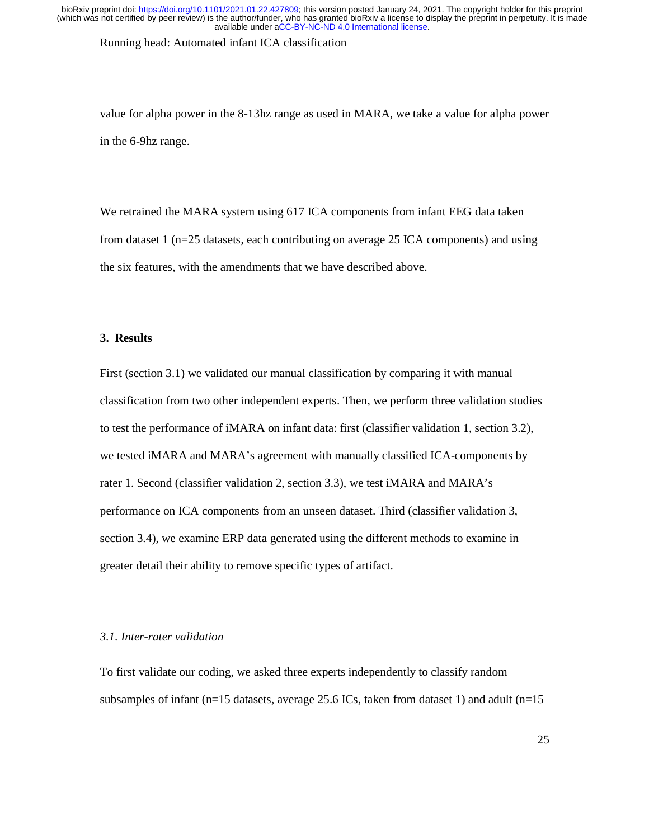Running head: Automated infant ICA classification

value for alpha power in the 8-13hz range as used in MARA, we take a value for alpha power in the 6-9hz range.

We retrained the MARA system using 617 ICA components from infant EEG data taken from dataset 1 (n=25 datasets, each contributing on average 25 ICA components) and using the six features, with the amendments that we have described above.

# **3. Results**

First (section 3.1) we validated our manual classification by comparing it with manual classification from two other independent experts. Then, we perform three validation studies to test the performance of iMARA on infant data: first (classifier validation 1, section 3.2), we tested iMARA and MARA's agreement with manually classified ICA-components by rater 1. Second (classifier validation 2, section 3.3), we test iMARA and MARA's performance on ICA components from an unseen dataset. Third (classifier validation 3, section 3.4), we examine ERP data generated using the different methods to examine in greater detail their ability to remove specific types of artifact.

# *3.1. Inter-rater validation*

To first validate our coding, we asked three experts independently to classify random subsamples of infant ( $n=15$  datasets, average 25.6 ICs, taken from dataset 1) and adult ( $n=15$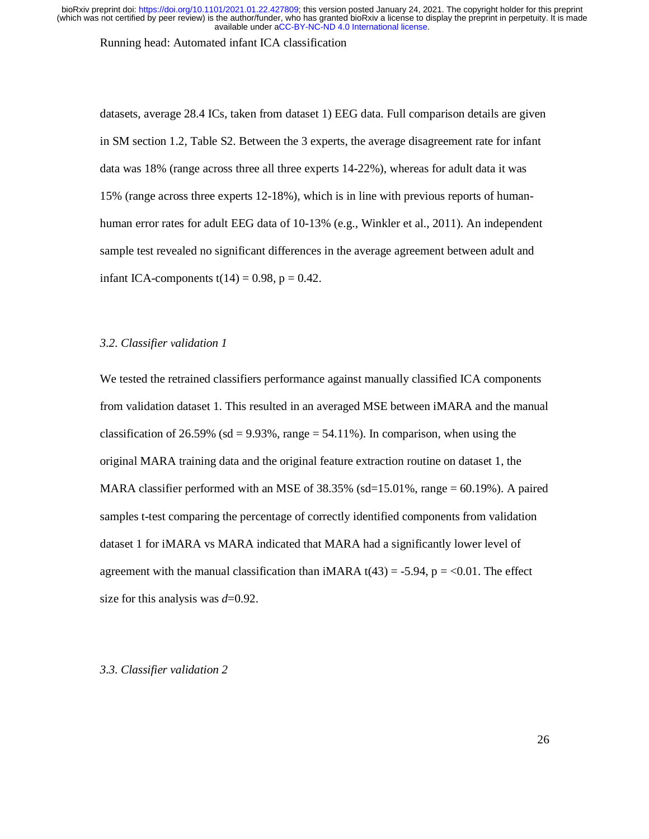Running head: Automated infant ICA classification

datasets, average 28.4 ICs, taken from dataset 1) EEG data. Full comparison details are given in SM section 1.2, Table S2. Between the 3 experts, the average disagreement rate for infant data was 18% (range across three all three experts 14-22%), whereas for adult data it was 15% (range across three experts 12-18%), which is in line with previous reports of humanhuman error rates for adult EEG data of 10-13% (e.g., Winkler et al., 2011). An independent sample test revealed no significant differences in the average agreement between adult and infant ICA-components  $t(14) = 0.98$ ,  $p = 0.42$ .

# *3.2. Classifier validation 1*

We tested the retrained classifiers performance against manually classified ICA components from validation dataset 1. This resulted in an averaged MSE between iMARA and the manual classification of 26.59% (sd = 9.93%, range =  $54.11\%$ ). In comparison, when using the original MARA training data and the original feature extraction routine on dataset 1, the MARA classifier performed with an MSE of  $38.35\%$  (sd=15.01%, range = 60.19%). A paired samples t-test comparing the percentage of correctly identified components from validation dataset 1 for iMARA vs MARA indicated that MARA had a significantly lower level of agreement with the manual classification than iMARA  $t(43) = -5.94$ ,  $p = <0.01$ . The effect size for this analysis was *d*=0.92.

# *3.3. Classifier validation 2*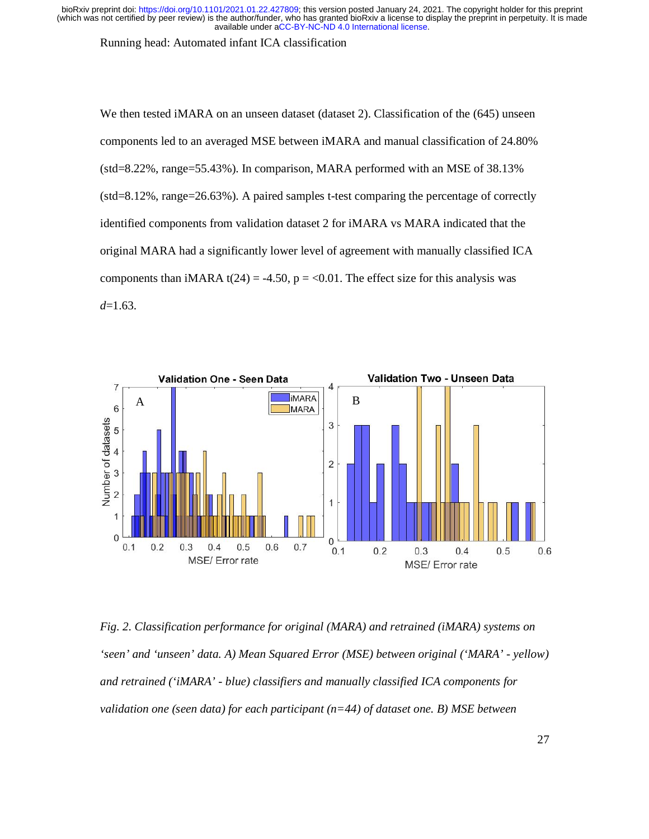Running head: Automated infant ICA classification

We then tested iMARA on an unseen dataset (dataset 2). Classification of the (645) unseen components led to an averaged MSE between iMARA and manual classification of 24.80% (std=8.22%, range=55.43%). In comparison, MARA performed with an MSE of 38.13% (std=8.12%, range=26.63%). A paired samples t-test comparing the percentage of correctly identified components from validation dataset 2 for iMARA vs MARA indicated that the original MARA had a significantly lower level of agreement with manually classified ICA components than iMARA t(24) = -4.50, p = <0.01. The effect size for this analysis was *d*=1.63.



*Fig. 2. Classification performance for original (MARA) and retrained (iMARA) systems on 'seen' and 'unseen' data. A) Mean Squared Error (MSE) between original ('MARA' - yellow) and retrained ('iMARA' - blue) classifiers and manually classified ICA components for validation one (seen data) for each participant (n=44) of dataset one. B) MSE between*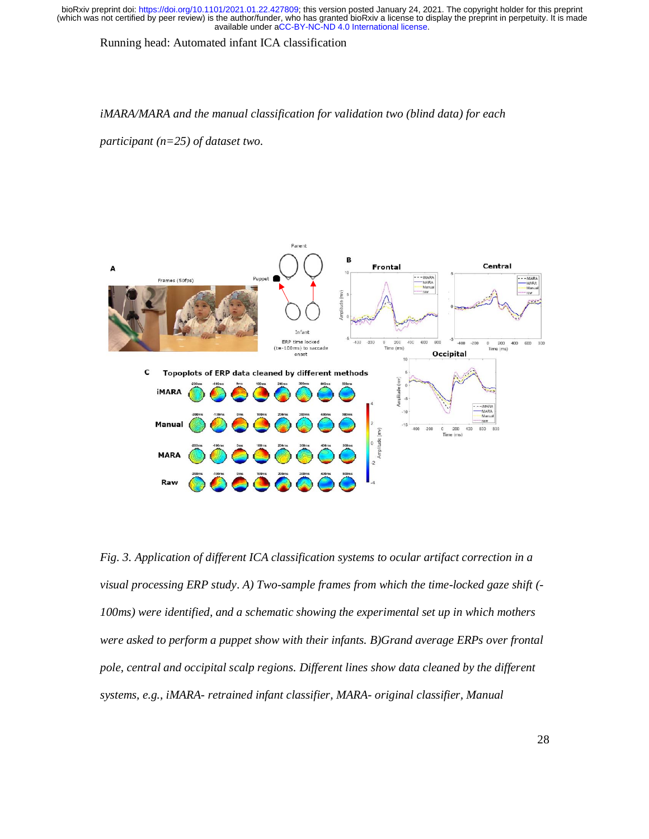Running head: Automated infant ICA classification

#### *iMARA/MARA and the manual classification for validation two (blind data) for each*

*participant (n=25) of dataset two.* 



*Fig. 3. Application of different ICA classification systems to ocular artifact correction in a visual processing ERP study*. *A) Two-sample frames from which the time-locked gaze shift (- 100ms) were identified, and a schematic showing the experimental set up in which mothers were asked to perform a puppet show with their infants. B)Grand average ERPs over frontal pole, central and occipital scalp regions. Different lines show data cleaned by the different systems, e.g., iMARA- retrained infant classifier, MARA- original classifier, Manual*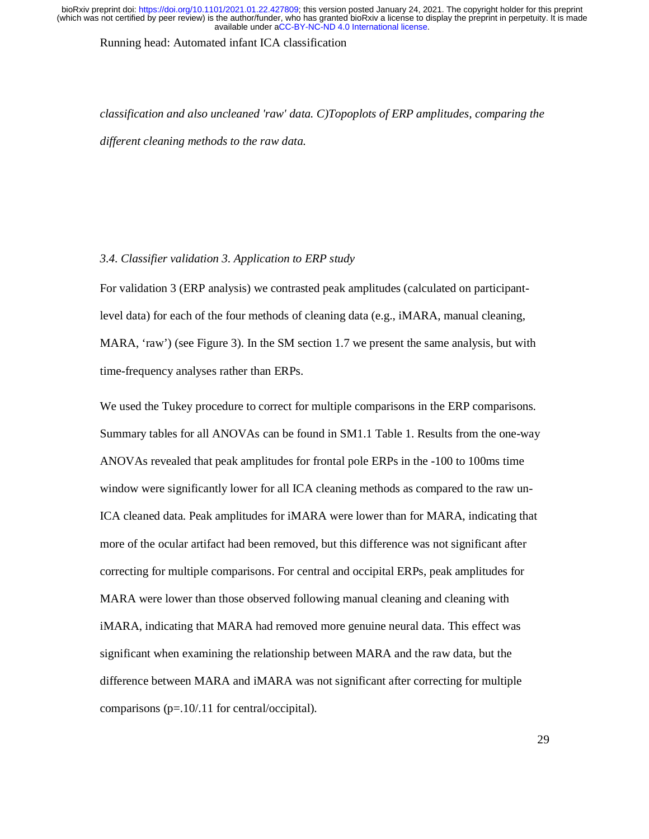Running head: Automated infant ICA classification

*classification and also uncleaned 'raw' data. C)Topoplots of ERP amplitudes, comparing the different cleaning methods to the raw data.* 

# *3.4. Classifier validation 3. Application to ERP study*

For validation 3 (ERP analysis) we contrasted peak amplitudes (calculated on participantlevel data) for each of the four methods of cleaning data (e.g., iMARA, manual cleaning, MARA, 'raw') (see Figure 3). In the SM section 1.7 we present the same analysis, but with time-frequency analyses rather than ERPs.

We used the Tukey procedure to correct for multiple comparisons in the ERP comparisons. Summary tables for all ANOVAs can be found in SM1.1 Table 1. Results from the one-way ANOVAs revealed that peak amplitudes for frontal pole ERPs in the -100 to 100ms time window were significantly lower for all ICA cleaning methods as compared to the raw un-ICA cleaned data. Peak amplitudes for iMARA were lower than for MARA, indicating that more of the ocular artifact had been removed, but this difference was not significant after correcting for multiple comparisons. For central and occipital ERPs, peak amplitudes for MARA were lower than those observed following manual cleaning and cleaning with iMARA, indicating that MARA had removed more genuine neural data. This effect was significant when examining the relationship between MARA and the raw data, but the difference between MARA and iMARA was not significant after correcting for multiple comparisons (p=.10/.11 for central/occipital).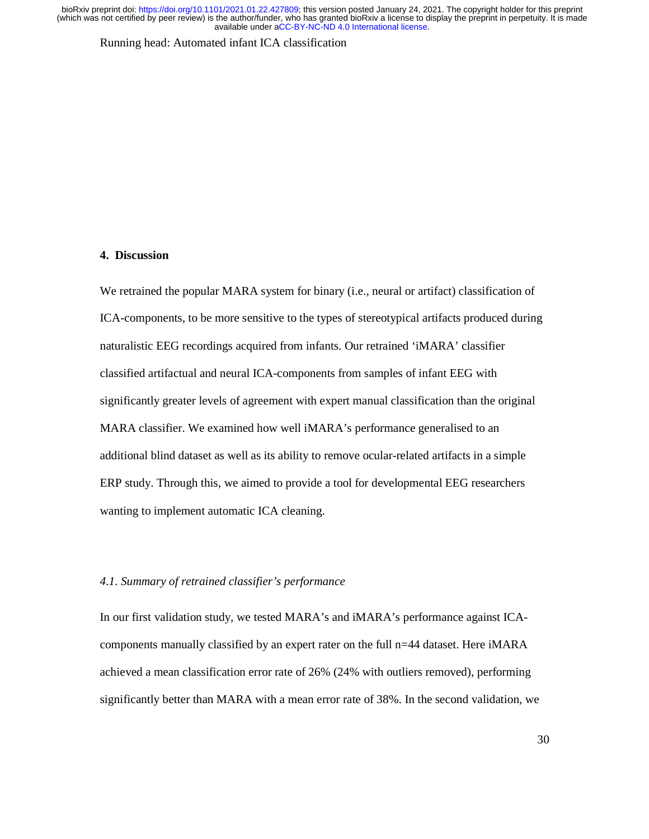Running head: Automated infant ICA classification

# **4. Discussion**

We retrained the popular MARA system for binary (i.e., neural or artifact) classification of ICA-components, to be more sensitive to the types of stereotypical artifacts produced during naturalistic EEG recordings acquired from infants. Our retrained 'iMARA' classifier classified artifactual and neural ICA-components from samples of infant EEG with significantly greater levels of agreement with expert manual classification than the original MARA classifier. We examined how well iMARA's performance generalised to an additional blind dataset as well as its ability to remove ocular-related artifacts in a simple ERP study. Through this, we aimed to provide a tool for developmental EEG researchers wanting to implement automatic ICA cleaning.

# *4.1. Summary of retrained classifier's performance*

In our first validation study, we tested MARA's and iMARA's performance against ICAcomponents manually classified by an expert rater on the full n=44 dataset. Here iMARA achieved a mean classification error rate of 26% (24% with outliers removed), performing significantly better than MARA with a mean error rate of 38%. In the second validation, we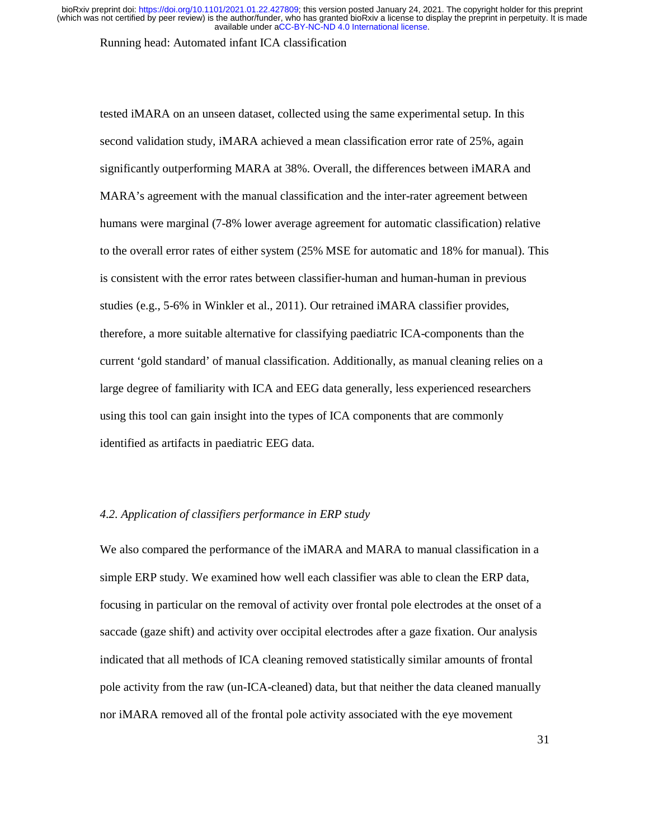Running head: Automated infant ICA classification

tested iMARA on an unseen dataset, collected using the same experimental setup. In this second validation study, iMARA achieved a mean classification error rate of 25%, again significantly outperforming MARA at 38%. Overall, the differences between iMARA and MARA's agreement with the manual classification and the inter-rater agreement between humans were marginal (7-8% lower average agreement for automatic classification) relative to the overall error rates of either system (25% MSE for automatic and 18% for manual). This is consistent with the error rates between classifier-human and human-human in previous studies (e.g., 5-6% in Winkler et al., 2011). Our retrained iMARA classifier provides, therefore, a more suitable alternative for classifying paediatric ICA-components than the current 'gold standard' of manual classification. Additionally, as manual cleaning relies on a large degree of familiarity with ICA and EEG data generally, less experienced researchers using this tool can gain insight into the types of ICA components that are commonly identified as artifacts in paediatric EEG data.

# *4.2. Application of classifiers performance in ERP study*

We also compared the performance of the iMARA and MARA to manual classification in a simple ERP study. We examined how well each classifier was able to clean the ERP data, focusing in particular on the removal of activity over frontal pole electrodes at the onset of a saccade (gaze shift) and activity over occipital electrodes after a gaze fixation. Our analysis indicated that all methods of ICA cleaning removed statistically similar amounts of frontal pole activity from the raw (un-ICA-cleaned) data, but that neither the data cleaned manually nor iMARA removed all of the frontal pole activity associated with the eye movement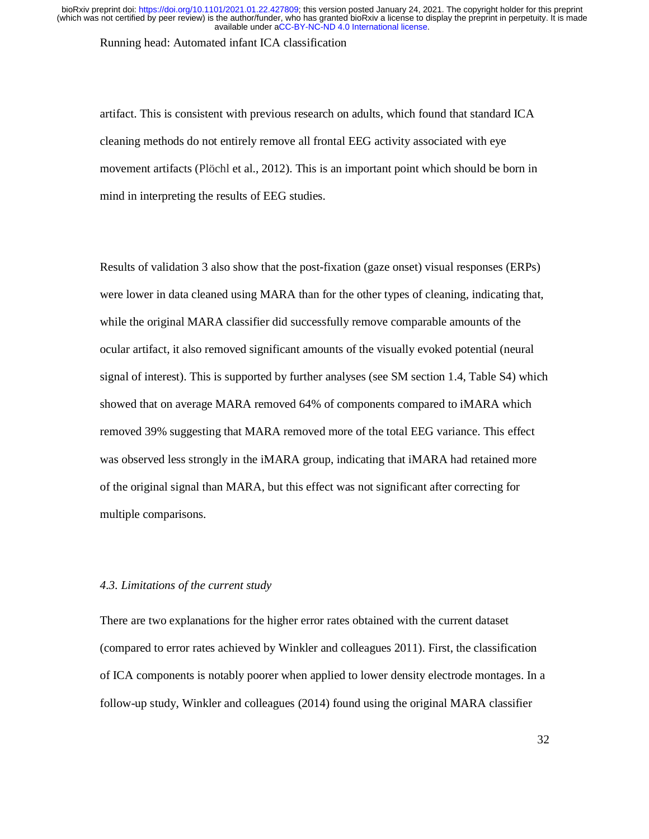Running head: Automated infant ICA classification

artifact. This is consistent with previous research on adults, which found that standard ICA cleaning methods do not entirely remove all frontal EEG activity associated with eye movement artifacts (Plöchl et al., 2012). This is an important point which should be born in mind in interpreting the results of EEG studies.

Results of validation 3 also show that the post-fixation (gaze onset) visual responses (ERPs) were lower in data cleaned using MARA than for the other types of cleaning, indicating that, while the original MARA classifier did successfully remove comparable amounts of the ocular artifact, it also removed significant amounts of the visually evoked potential (neural signal of interest). This is supported by further analyses (see SM section 1.4, Table S4) which showed that on average MARA removed 64% of components compared to iMARA which removed 39% suggesting that MARA removed more of the total EEG variance. This effect was observed less strongly in the iMARA group, indicating that iMARA had retained more of the original signal than MARA, but this effect was not significant after correcting for multiple comparisons.

# *4.3. Limitations of the current study*

There are two explanations for the higher error rates obtained with the current dataset (compared to error rates achieved by Winkler and colleagues 2011). First, the classification of ICA components is notably poorer when applied to lower density electrode montages. In a follow-up study, Winkler and colleagues (2014) found using the original MARA classifier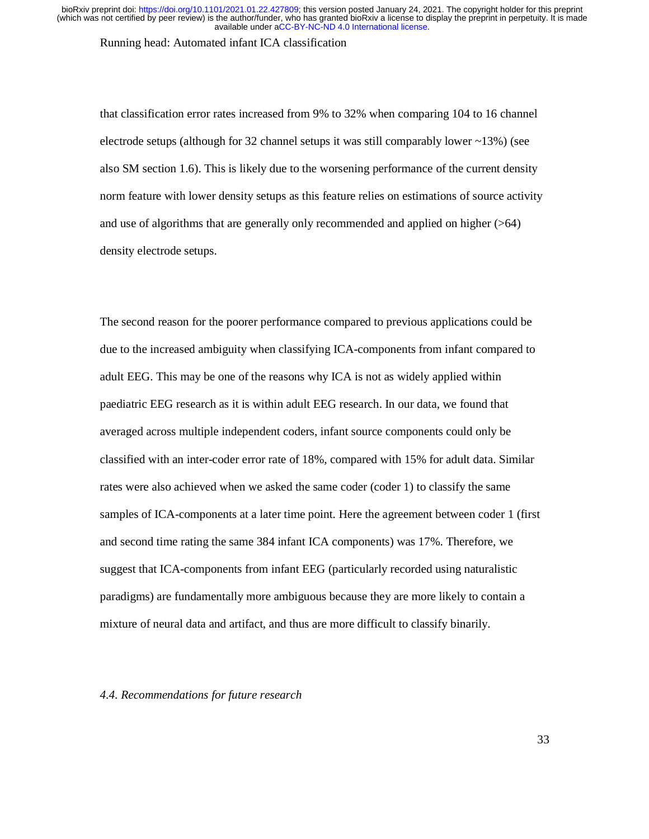Running head: Automated infant ICA classification

that classification error rates increased from 9% to 32% when comparing 104 to 16 channel electrode setups (although for 32 channel setups it was still comparably lower  $\sim$ 13%) (see also SM section 1.6). This is likely due to the worsening performance of the current density norm feature with lower density setups as this feature relies on estimations of source activity and use of algorithms that are generally only recommended and applied on higher (>64) density electrode setups.

The second reason for the poorer performance compared to previous applications could be due to the increased ambiguity when classifying ICA-components from infant compared to adult EEG. This may be one of the reasons why ICA is not as widely applied within paediatric EEG research as it is within adult EEG research. In our data, we found that averaged across multiple independent coders, infant source components could only be classified with an inter-coder error rate of 18%, compared with 15% for adult data. Similar rates were also achieved when we asked the same coder (coder 1) to classify the same samples of ICA-components at a later time point. Here the agreement between coder 1 (first and second time rating the same 384 infant ICA components) was 17%. Therefore, we suggest that ICA-components from infant EEG (particularly recorded using naturalistic paradigms) are fundamentally more ambiguous because they are more likely to contain a mixture of neural data and artifact, and thus are more difficult to classify binarily.

# *4.4. Recommendations for future research*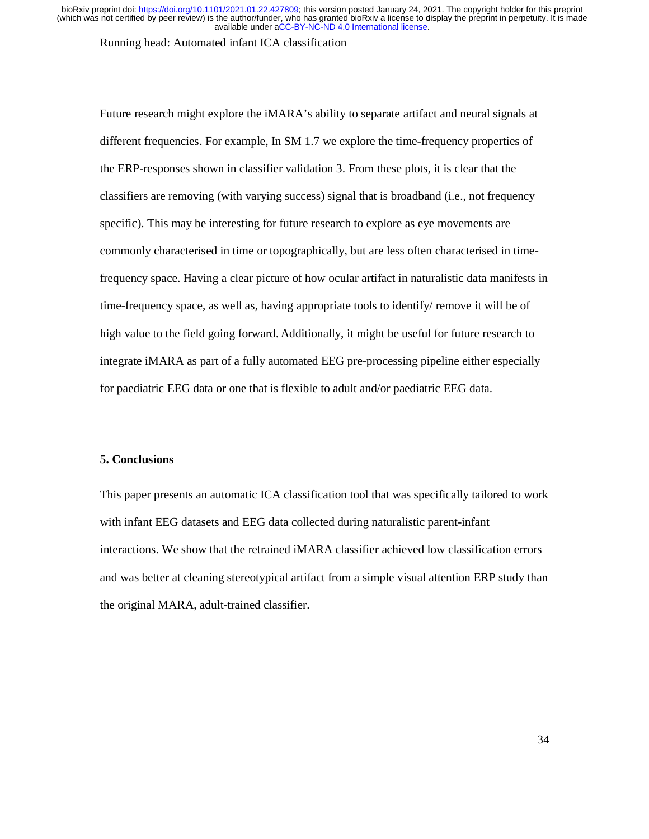Running head: Automated infant ICA classification

Future research might explore the iMARA's ability to separate artifact and neural signals at different frequencies. For example, In SM 1.7 we explore the time-frequency properties of the ERP-responses shown in classifier validation 3. From these plots, it is clear that the classifiers are removing (with varying success) signal that is broadband (i.e., not frequency specific). This may be interesting for future research to explore as eye movements are commonly characterised in time or topographically, but are less often characterised in timefrequency space. Having a clear picture of how ocular artifact in naturalistic data manifests in time-frequency space, as well as, having appropriate tools to identify/ remove it will be of high value to the field going forward. Additionally, it might be useful for future research to integrate iMARA as part of a fully automated EEG pre-processing pipeline either especially for paediatric EEG data or one that is flexible to adult and/or paediatric EEG data.

# **5. Conclusions**

This paper presents an automatic ICA classification tool that was specifically tailored to work with infant EEG datasets and EEG data collected during naturalistic parent-infant interactions. We show that the retrained iMARA classifier achieved low classification errors and was better at cleaning stereotypical artifact from a simple visual attention ERP study than the original MARA, adult-trained classifier.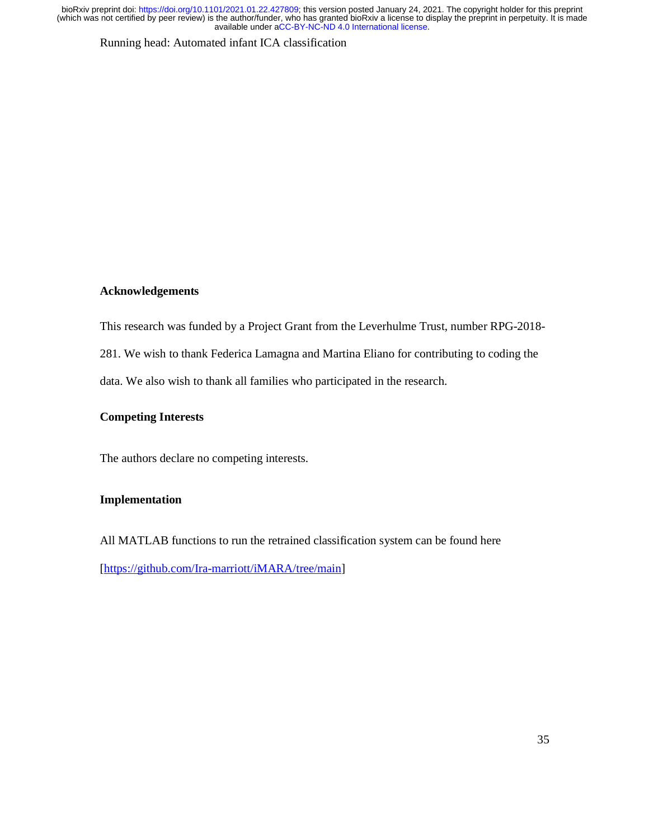Running head: Automated infant ICA classification

# **Acknowledgements**

This research was funded by a Project Grant from the Leverhulme Trust, number RPG-2018-

281. We wish to thank Federica Lamagna and Martina Eliano for contributing to coding the

data. We also wish to thank all families who participated in the research.

# **Competing Interests**

The authors declare no competing interests.

# **Implementation**

All MATLAB functions to run the retrained classification system can be found here [https://github.com/Ira-marriott/iMARA/tree/main]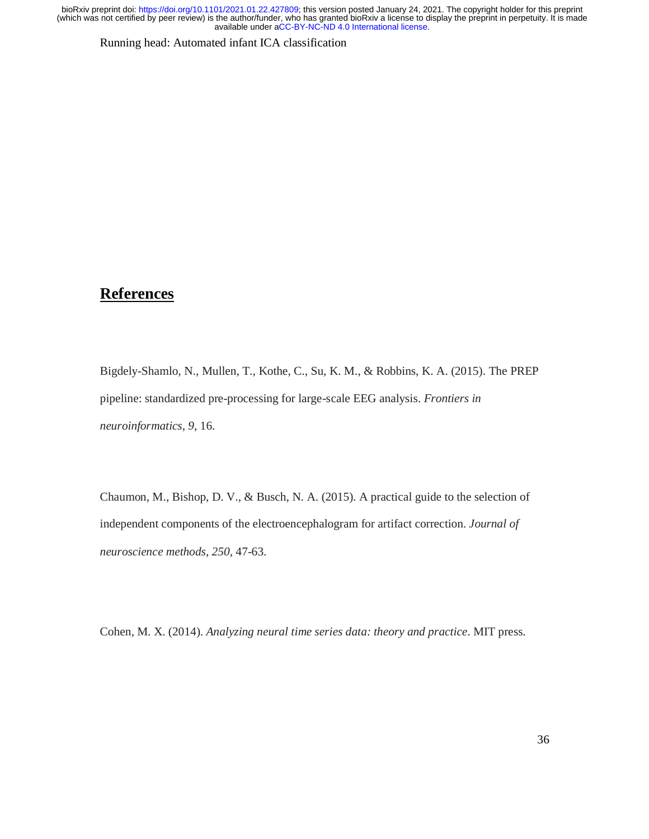Running head: Automated infant ICA classification

# **References**

Bigdely-Shamlo, N., Mullen, T., Kothe, C., Su, K. M., & Robbins, K. A. (2015). The PREP pipeline: standardized pre-processing for large-scale EEG analysis. *Frontiers in neuroinformatics*, *9*, 16.

Chaumon, M., Bishop, D. V., & Busch, N. A. (2015). A practical guide to the selection of independent components of the electroencephalogram for artifact correction. *Journal of neuroscience methods*, *250*, 47-63.

Cohen, M. X. (2014). *Analyzing neural time series data: theory and practice*. MIT press.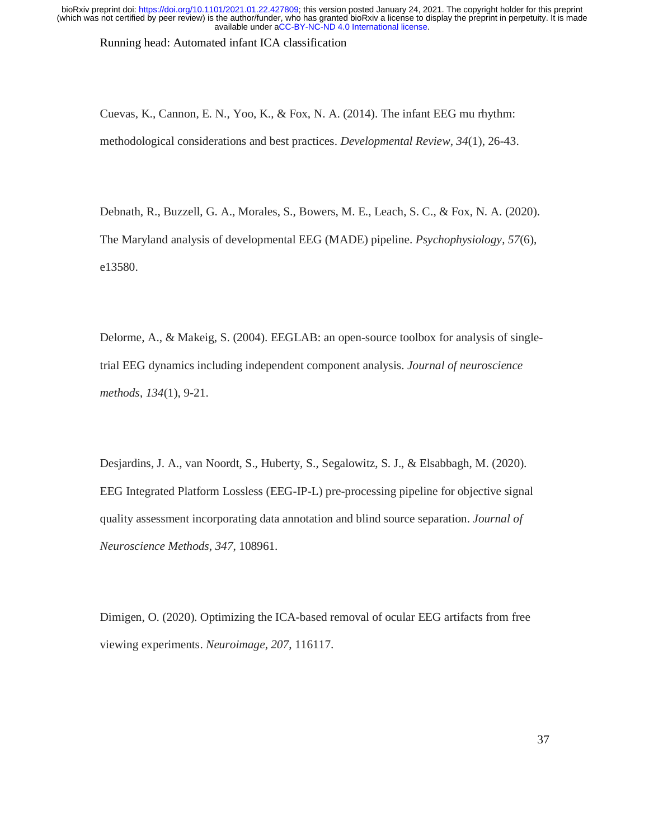Running head: Automated infant ICA classification

Cuevas, K., Cannon, E. N., Yoo, K., & Fox, N. A. (2014). The infant EEG mu rhythm: methodological considerations and best practices. *Developmental Review*, *34*(1), 26-43.

Debnath, R., Buzzell, G. A., Morales, S., Bowers, M. E., Leach, S. C., & Fox, N. A. (2020). The Maryland analysis of developmental EEG (MADE) pipeline. *Psychophysiology*, *57*(6), e13580.

Delorme, A., & Makeig, S. (2004). EEGLAB: an open-source toolbox for analysis of singletrial EEG dynamics including independent component analysis. *Journal of neuroscience methods*, *134*(1), 9-21.

Desjardins, J. A., van Noordt, S., Huberty, S., Segalowitz, S. J., & Elsabbagh, M. (2020). EEG Integrated Platform Lossless (EEG-IP-L) pre-processing pipeline for objective signal quality assessment incorporating data annotation and blind source separation. *Journal of Neuroscience Methods*, *347*, 108961.

Dimigen, O. (2020). Optimizing the ICA-based removal of ocular EEG artifacts from free viewing experiments. *Neuroimage*, *207*, 116117.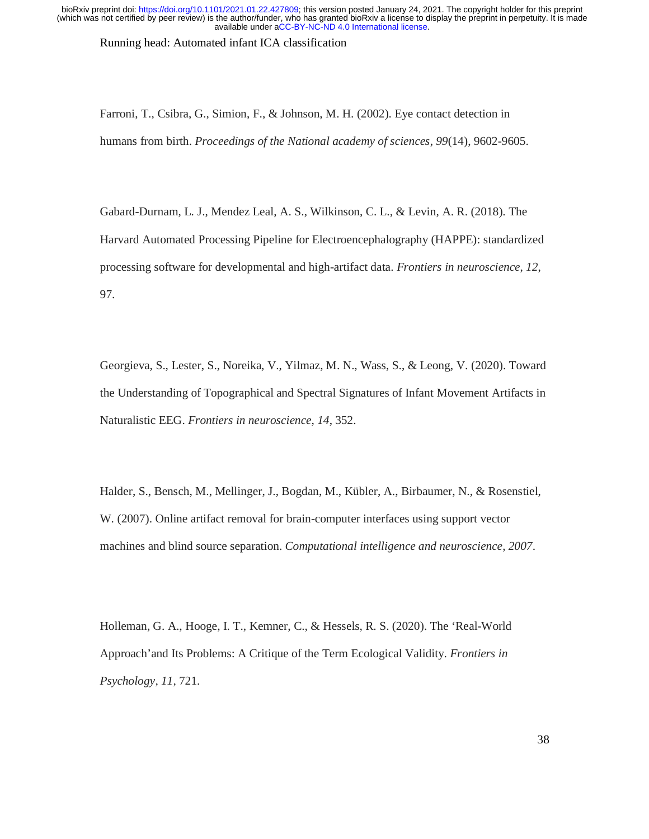Running head: Automated infant ICA classification

Farroni, T., Csibra, G., Simion, F., & Johnson, M. H. (2002). Eye contact detection in humans from birth. *Proceedings of the National academy of sciences*, *99*(14), 9602-9605.

Gabard-Durnam, L. J., Mendez Leal, A. S., Wilkinson, C. L., & Levin, A. R. (2018). The Harvard Automated Processing Pipeline for Electroencephalography (HAPPE): standardized processing software for developmental and high-artifact data. *Frontiers in neuroscience*, *12*, 97.

Georgieva, S., Lester, S., Noreika, V., Yilmaz, M. N., Wass, S., & Leong, V. (2020). Toward the Understanding of Topographical and Spectral Signatures of Infant Movement Artifacts in Naturalistic EEG. *Frontiers in neuroscience*, *14*, 352.

Halder, S., Bensch, M., Mellinger, J., Bogdan, M., Kübler, A., Birbaumer, N., & Rosenstiel, W. (2007). Online artifact removal for brain-computer interfaces using support vector machines and blind source separation. *Computational intelligence and neuroscience*, *2007*.

Holleman, G. A., Hooge, I. T., Kemner, C., & Hessels, R. S. (2020). The 'Real-World Approach'and Its Problems: A Critique of the Term Ecological Validity. *Frontiers in Psychology*, *11*, 721.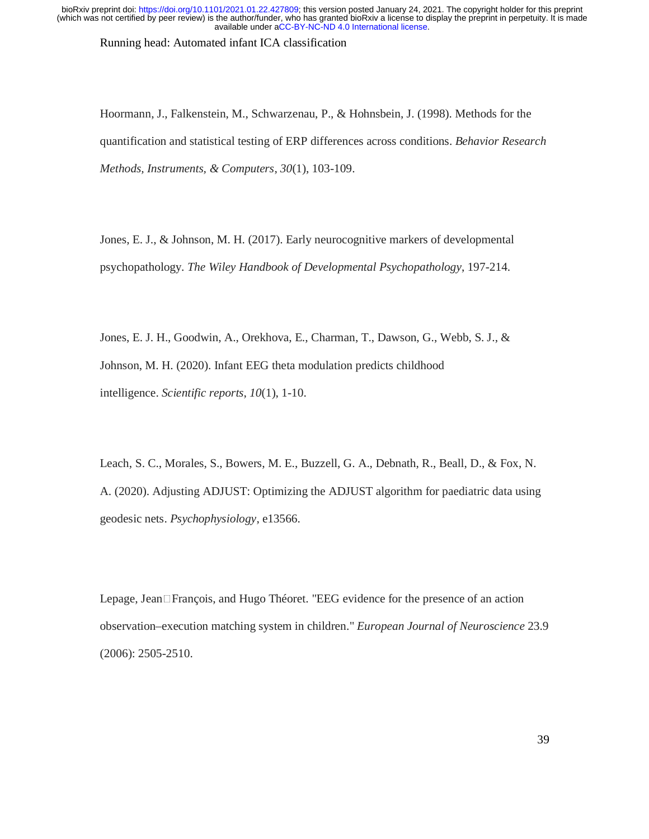Running head: Automated infant ICA classification

Hoormann, J., Falkenstein, M., Schwarzenau, P., & Hohnsbein, J. (1998). Methods for the quantification and statistical testing of ERP differences across conditions. *Behavior Research Methods, Instruments, & Computers*, *30*(1), 103-109.

Jones, E. J., & Johnson, M. H. (2017). Early neurocognitive markers of developmental psychopathology. *The Wiley Handbook of Developmental Psychopathology*, 197-214.

Jones, E. J. H., Goodwin, A., Orekhova, E., Charman, T., Dawson, G., Webb, S. J., & Johnson, M. H. (2020). Infant EEG theta modulation predicts childhood intelligence. *Scientific reports*, *10*(1), 1-10.

Leach, S. C., Morales, S., Bowers, M. E., Buzzell, G. A., Debnath, R., Beall, D., & Fox, N. A. (2020). Adjusting ADJUST: Optimizing the ADJUST algorithm for paediatric data using geodesic nets. *Psychophysiology*, e13566.

Lepage, Jean $\Box$ François, and Hugo Théoret. "EEG evidence for the presence of an action observation–execution matching system in children." *European Journal of Neuroscience* 23.9 (2006): 2505-2510.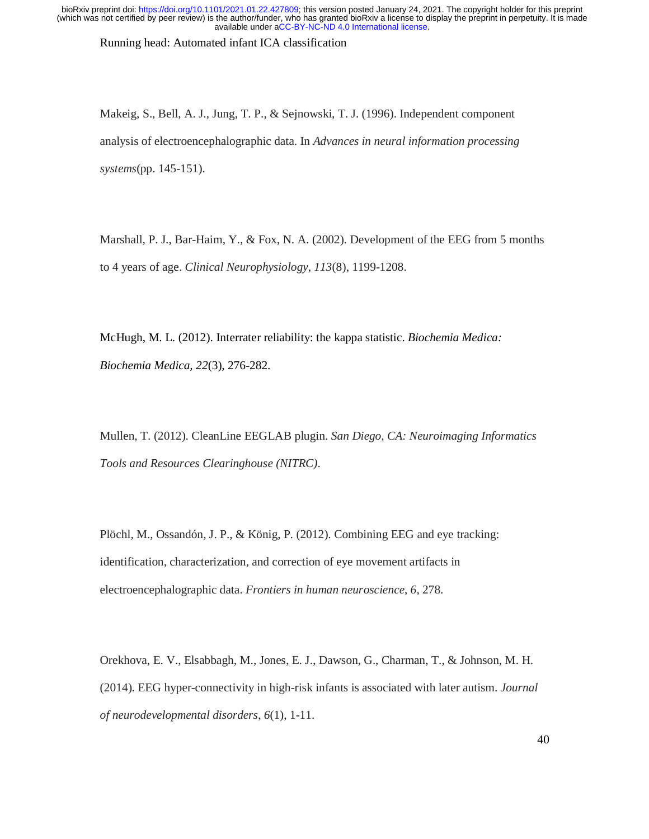Running head: Automated infant ICA classification

Makeig, S., Bell, A. J., Jung, T. P., & Sejnowski, T. J. (1996). Independent component analysis of electroencephalographic data. In *Advances in neural information processing systems*(pp. 145-151).

Marshall, P. J., Bar-Haim, Y., & Fox, N. A. (2002). Development of the EEG from 5 months to 4 years of age. *Clinical Neurophysiology*, *113*(8), 1199-1208.

McHugh, M. L. (2012). Interrater reliability: the kappa statistic. *Biochemia Medica: Biochemia Medica, 22*(3), 276-282.

Mullen, T. (2012). CleanLine EEGLAB plugin. *San Diego, CA: Neuroimaging Informatics Tools and Resources Clearinghouse (NITRC)*.

Plöchl, M., Ossandón, J. P., & König, P. (2012). Combining EEG and eye tracking: identification, characterization, and correction of eye movement artifacts in electroencephalographic data. *Frontiers in human neuroscience*, *6*, 278.

Orekhova, E. V., Elsabbagh, M., Jones, E. J., Dawson, G., Charman, T., & Johnson, M. H. (2014). EEG hyper-connectivity in high-risk infants is associated with later autism. *Journal of neurodevelopmental disorders*, *6*(1), 1-11.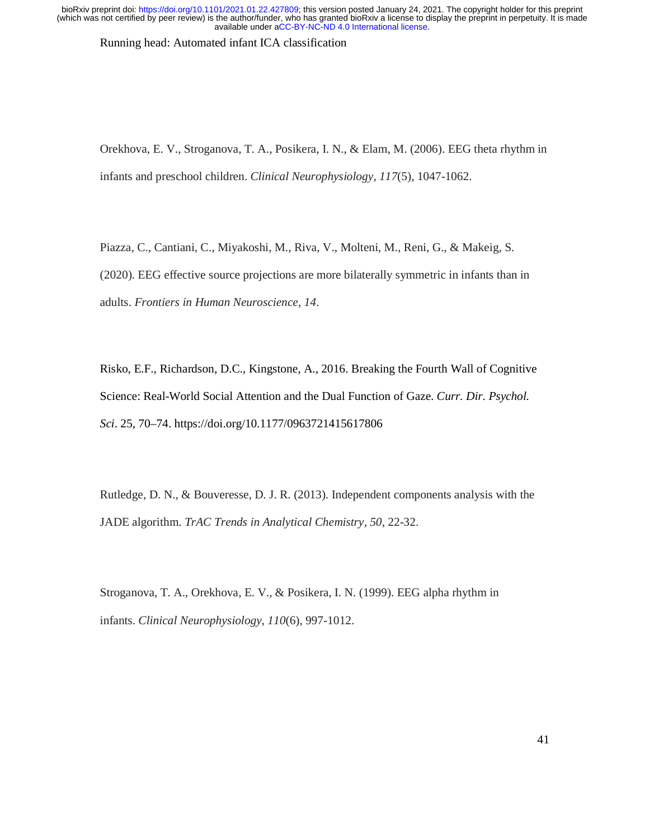Running head: Automated infant ICA classification

Orekhova, E. V., Stroganova, T. A., Posikera, I. N., & Elam, M. (2006). EEG theta rhythm in infants and preschool children. *Clinical Neurophysiology*, *117*(5), 1047-1062.

Piazza, C., Cantiani, C., Miyakoshi, M., Riva, V., Molteni, M., Reni, G., & Makeig, S. (2020). EEG effective source projections are more bilaterally symmetric in infants than in adults. *Frontiers in Human Neuroscience*, *14*.

Risko, E.F., Richardson, D.C., Kingstone, A., 2016. Breaking the Fourth Wall of Cognitive Science: Real-World Social Attention and the Dual Function of Gaze. *Curr. Dir. Psychol. Sci*. 25, 70–74. https://doi.org/10.1177/0963721415617806

Rutledge, D. N., & Bouveresse, D. J. R. (2013). Independent components analysis with the JADE algorithm. *TrAC Trends in Analytical Chemistry*, *50*, 22-32.

Stroganova, T. A., Orekhova, E. V., & Posikera, I. N. (1999). EEG alpha rhythm in infants. *Clinical Neurophysiology*, *110*(6), 997-1012.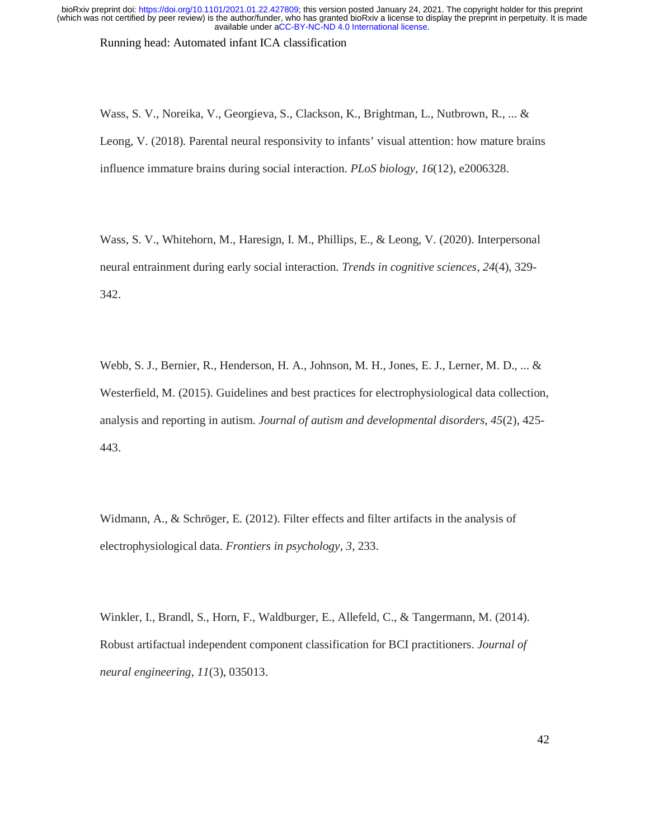Running head: Automated infant ICA classification

Wass, S. V., Noreika, V., Georgieva, S., Clackson, K., Brightman, L., Nutbrown, R., ... & Leong, V. (2018). Parental neural responsivity to infants' visual attention: how mature brains influence immature brains during social interaction. *PLoS biology*, *16*(12), e2006328.

Wass, S. V., Whitehorn, M., Haresign, I. M., Phillips, E., & Leong, V. (2020). Interpersonal neural entrainment during early social interaction. *Trends in cognitive sciences*, *24*(4), 329- 342.

Webb, S. J., Bernier, R., Henderson, H. A., Johnson, M. H., Jones, E. J., Lerner, M. D., ... & Westerfield, M. (2015). Guidelines and best practices for electrophysiological data collection, analysis and reporting in autism. *Journal of autism and developmental disorders*, *45*(2), 425- 443.

Widmann, A., & Schröger, E. (2012). Filter effects and filter artifacts in the analysis of electrophysiological data. *Frontiers in psychology*, *3*, 233.

Winkler, I., Brandl, S., Horn, F., Waldburger, E., Allefeld, C., & Tangermann, M. (2014). Robust artifactual independent component classification for BCI practitioners. *Journal of neural engineering*, *11*(3), 035013.